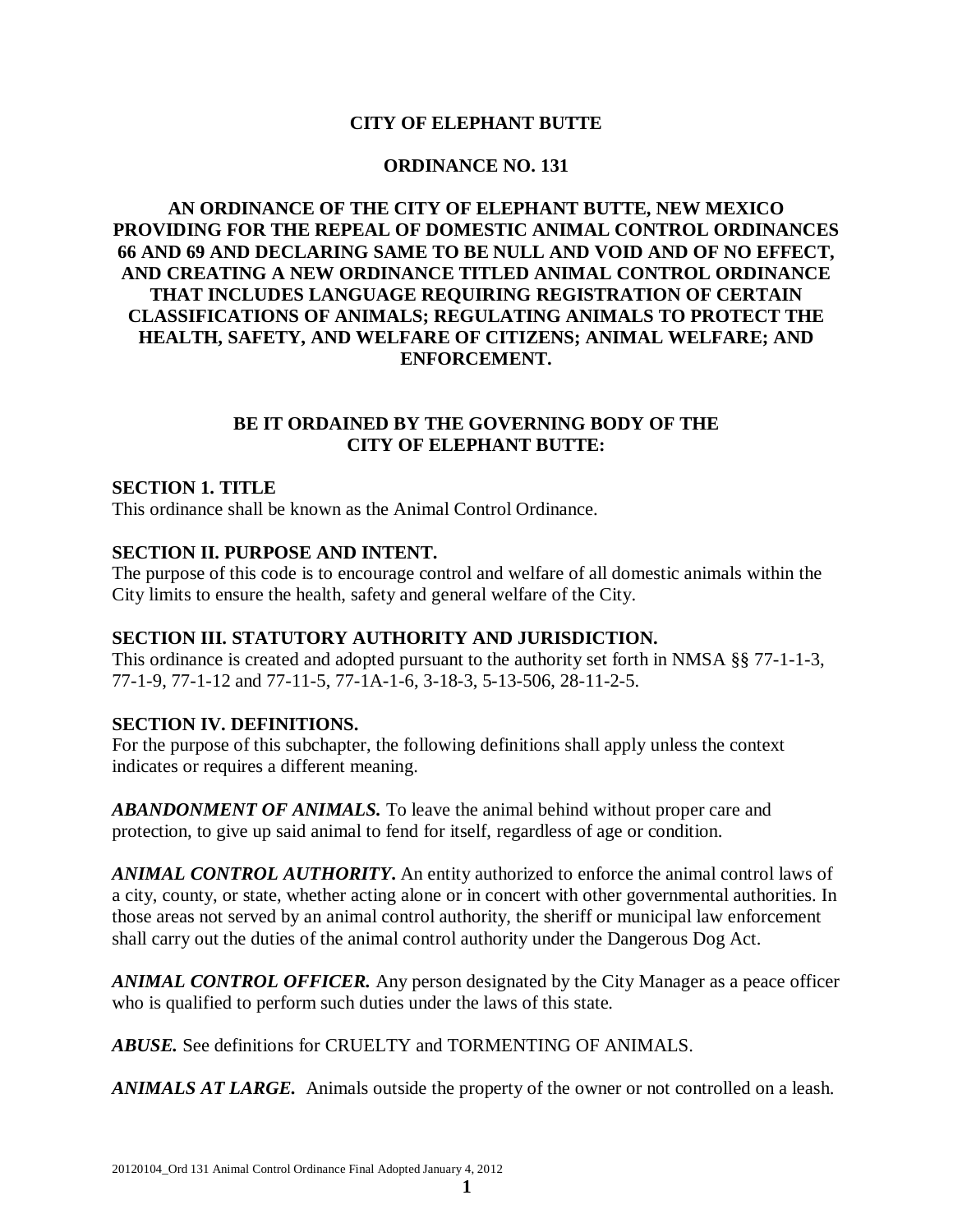## **CITY OF ELEPHANT BUTTE**

### **ORDINANCE NO. 131**

# **AN ORDINANCE OF THE CITY OF ELEPHANT BUTTE, NEW MEXICO PROVIDING FOR THE REPEAL OF DOMESTIC ANIMAL CONTROL ORDINANCES 66 AND 69 AND DECLARING SAME TO BE NULL AND VOID AND OF NO EFFECT, AND CREATING A NEW ORDINANCE TITLED ANIMAL CONTROL ORDINANCE THAT INCLUDES LANGUAGE REQUIRING REGISTRATION OF CERTAIN CLASSIFICATIONS OF ANIMALS; REGULATING ANIMALS TO PROTECT THE HEALTH, SAFETY, AND WELFARE OF CITIZENS; ANIMAL WELFARE; AND ENFORCEMENT.**

## **BE IT ORDAINED BY THE GOVERNING BODY OF THE CITY OF ELEPHANT BUTTE:**

### **SECTION 1. TITLE**

This ordinance shall be known as the Animal Control Ordinance.

#### **SECTION II. PURPOSE AND INTENT.**

The purpose of this code is to encourage control and welfare of all domestic animals within the City limits to ensure the health, safety and general welfare of the City.

# **SECTION III. STATUTORY AUTHORITY AND JURISDICTION.**

This ordinance is created and adopted pursuant to the authority set forth in NMSA §§ 77-1-1-3, 77-1-9, 77-1-12 and 77-11-5, 77-1A-1-6, 3-18-3, 5-13-506, 28-11-2-5.

#### **SECTION IV. DEFINITIONS.**

For the purpose of this subchapter, the following definitions shall apply unless the context indicates or requires a different meaning.

*ABANDONMENT OF ANIMALS.* To leave the animal behind without proper care and protection, to give up said animal to fend for itself, regardless of age or condition.

*ANIMAL CONTROL AUTHORITY***.** An entity authorized to enforce the animal control laws of a city, county, or state, whether acting alone or in concert with other governmental authorities. In those areas not served by an animal control authority, the sheriff or municipal law enforcement shall carry out the duties of the animal control authority under the Dangerous Dog Act.

*ANIMAL CONTROL OFFICER.* Any person designated by the City Manager as a peace officer who is qualified to perform such duties under the laws of this state.

*ABUSE.* See definitions for CRUELTY and TORMENTING OF ANIMALS.

*ANIMALS AT LARGE.* Animals outside the property of the owner or not controlled on a leash.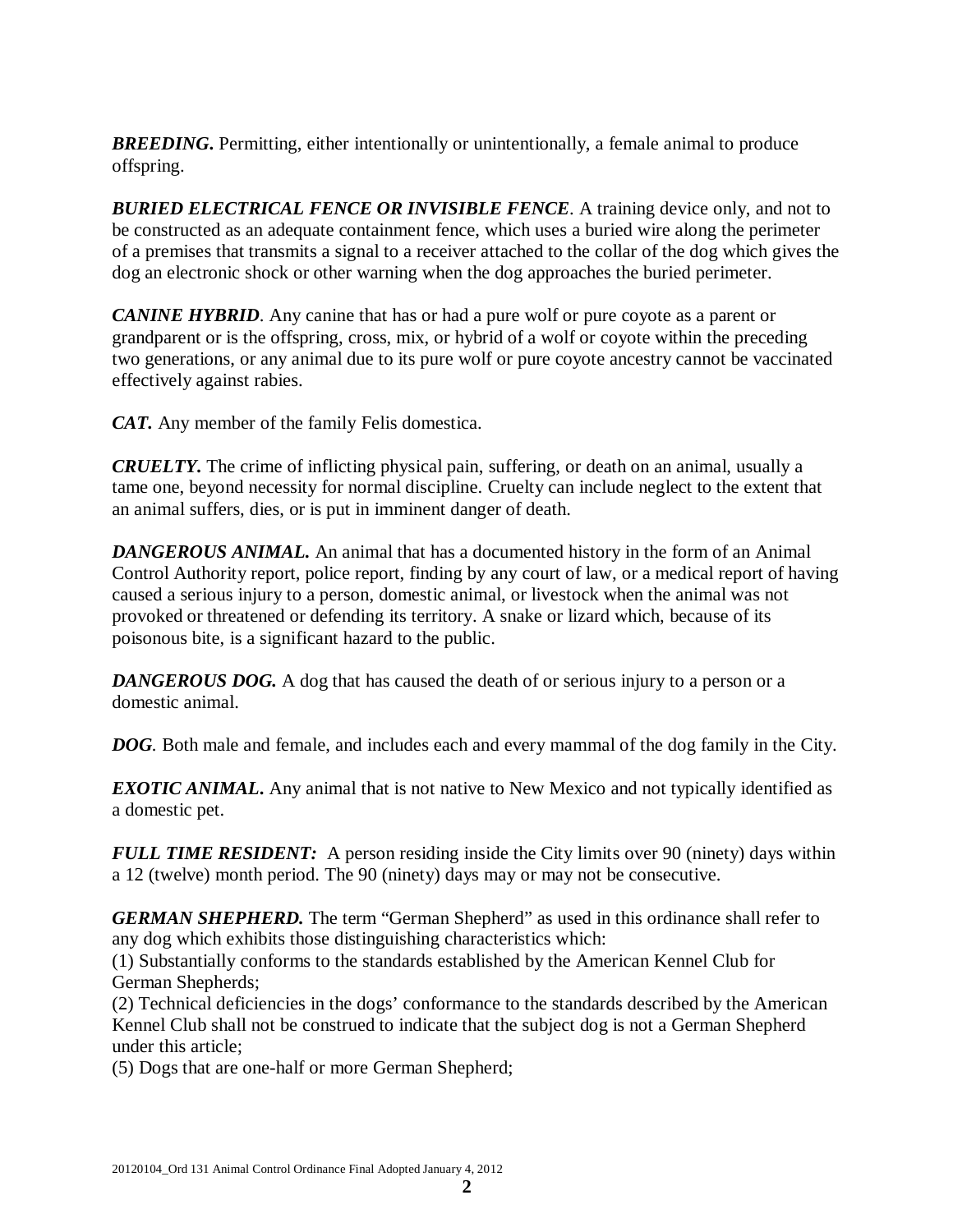**BREEDING.** Permitting, either intentionally or unintentionally, a female animal to produce offspring.

*BURIED ELECTRICAL FENCE OR INVISIBLE FENCE*. A training device only, and not to be constructed as an adequate containment fence, which uses a buried wire along the perimeter of a premises that transmits a signal to a receiver attached to the collar of the dog which gives the dog an electronic shock or other warning when the dog approaches the buried perimeter.

*CANINE HYBRID*. Any canine that has or had a pure wolf or pure coyote as a parent or grandparent or is the offspring, cross, mix, or hybrid of a wolf or coyote within the preceding two generations, or any animal due to its pure wolf or pure coyote ancestry cannot be vaccinated effectively against rabies.

*CAT.* Any member of the family Felis domestica.

*CRUELTY.* The crime of inflicting physical pain, suffering, or death on an animal, usually a tame one, beyond necessity for normal discipline. Cruelty can include neglect to the extent that an animal suffers, dies, or is put in imminent danger of death.

*DANGEROUS ANIMAL.* An animal that has a documented history in the form of an Animal Control Authority report, police report, finding by any court of law, or a medical report of having caused a serious injury to a person, domestic animal, or livestock when the animal was not provoked or threatened or defending its territory. A snake or lizard which, because of its poisonous bite, is a significant hazard to the public.

**DANGEROUS DOG.** A dog that has caused the death of or serious injury to a person or a domestic animal.

*DOG.* Both male and female, and includes each and every mammal of the dog family in the City.

*EXOTIC ANIMAL***.** Any animal that is not native to New Mexico and not typically identified as a domestic pet.

*FULL TIME RESIDENT:* A person residing inside the City limits over 90 (ninety) days within a 12 (twelve) month period. The 90 (ninety) days may or may not be consecutive.

*GERMAN SHEPHERD.* The term "German Shepherd" as used in this ordinance shall refer to any dog which exhibits those distinguishing characteristics which:

(1) Substantially conforms to the standards established by the American Kennel Club for German Shepherds;

(2) Technical deficiencies in the dogs' conformance to the standards described by the American Kennel Club shall not be construed to indicate that the subject dog is not a German Shepherd under this article;

(5) Dogs that are one-half or more German Shepherd;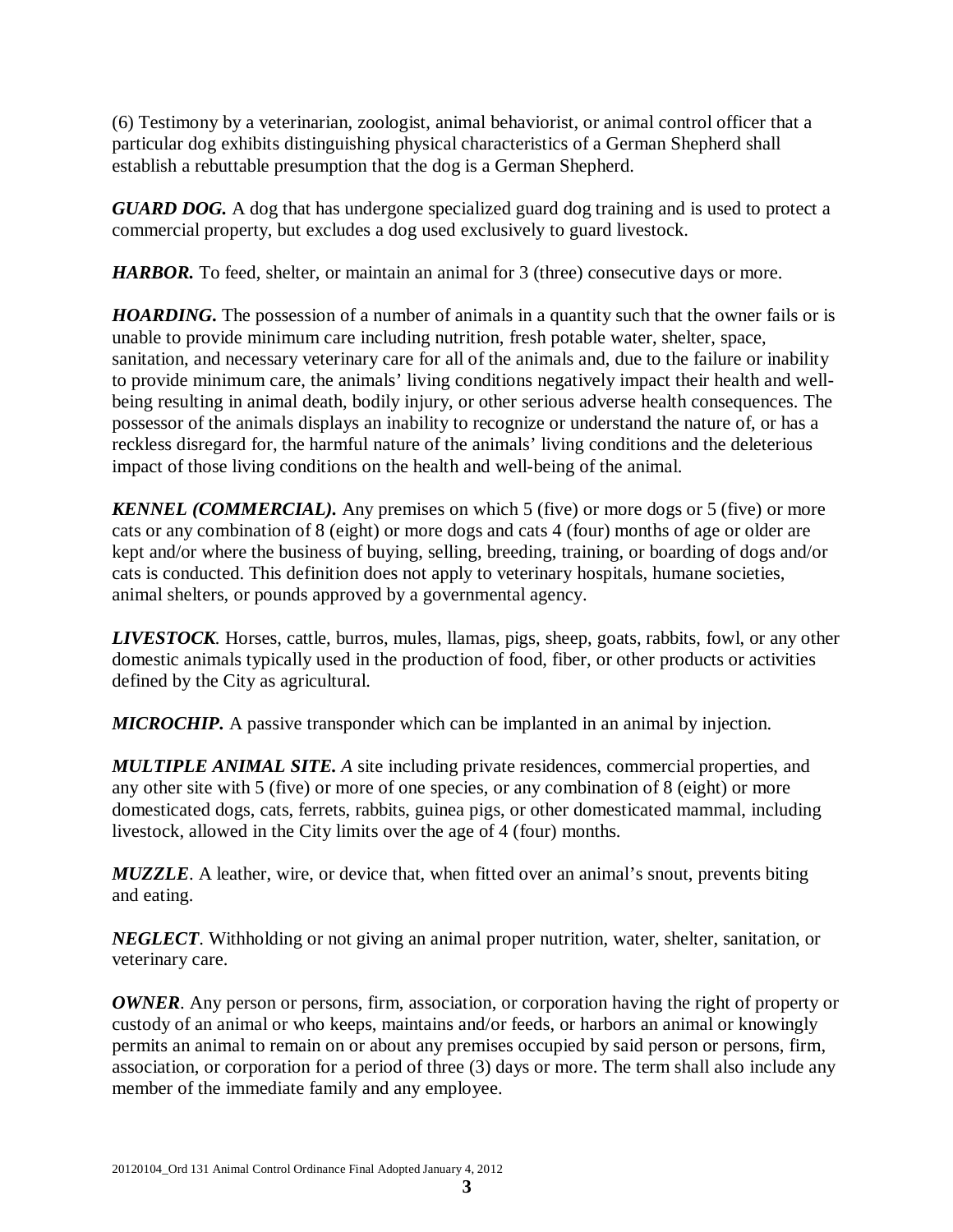(6) Testimony by a veterinarian, zoologist, animal behaviorist, or animal control officer that a particular dog exhibits distinguishing physical characteristics of a German Shepherd shall establish a rebuttable presumption that the dog is a German Shepherd.

*GUARD DOG.* A dog that has undergone specialized guard dog training and is used to protect a commercial property, but excludes a dog used exclusively to guard livestock.

*HARBOR*. To feed, shelter, or maintain an animal for 3 (three) consecutive days or more.

**HOARDING.** The possession of a number of animals in a quantity such that the owner fails or is unable to provide minimum care including nutrition, fresh potable water, shelter, space, sanitation, and necessary veterinary care for all of the animals and, due to the failure or inability to provide minimum care, the animals' living conditions negatively impact their health and wellbeing resulting in animal death, bodily injury, or other serious adverse health consequences. The possessor of the animals displays an inability to recognize or understand the nature of, or has a reckless disregard for, the harmful nature of the animals' living conditions and the deleterious impact of those living conditions on the health and well-being of the animal.

*KENNEL (COMMERCIAL).* Any premises on which 5 (five) or more dogs or 5 (five) or more cats or any combination of 8 (eight) or more dogs and cats 4 (four) months of age or older are kept and/or where the business of buying, selling, breeding, training, or boarding of dogs and/or cats is conducted. This definition does not apply to veterinary hospitals, humane societies, animal shelters, or pounds approved by a governmental agency.

*LIVESTOCK.* Horses, cattle, burros, mules, llamas, pigs, sheep, goats, rabbits, fowl, or any other domestic animals typically used in the production of food, fiber, or other products or activities defined by the City as agricultural.

*MICROCHIP.* A passive transponder which can be implanted in an animal by injection.

*MULTIPLE ANIMAL SITE. A* site including private residences, commercial properties, and any other site with 5 (five) or more of one species, or any combination of 8 (eight) or more domesticated dogs, cats, ferrets, rabbits, guinea pigs, or other domesticated mammal, including livestock, allowed in the City limits over the age of 4 (four) months.

*MUZZLE*. A leather, wire, or device that, when fitted over an animal's snout, prevents biting and eating.

*NEGLECT*. Withholding or not giving an animal proper nutrition, water, shelter, sanitation, or veterinary care.

*OWNER*. Any person or persons, firm, association, or corporation having the right of property or custody of an animal or who keeps, maintains and/or feeds, or harbors an animal or knowingly permits an animal to remain on or about any premises occupied by said person or persons, firm, association, or corporation for a period of three (3) days or more. The term shall also include any member of the immediate family and any employee.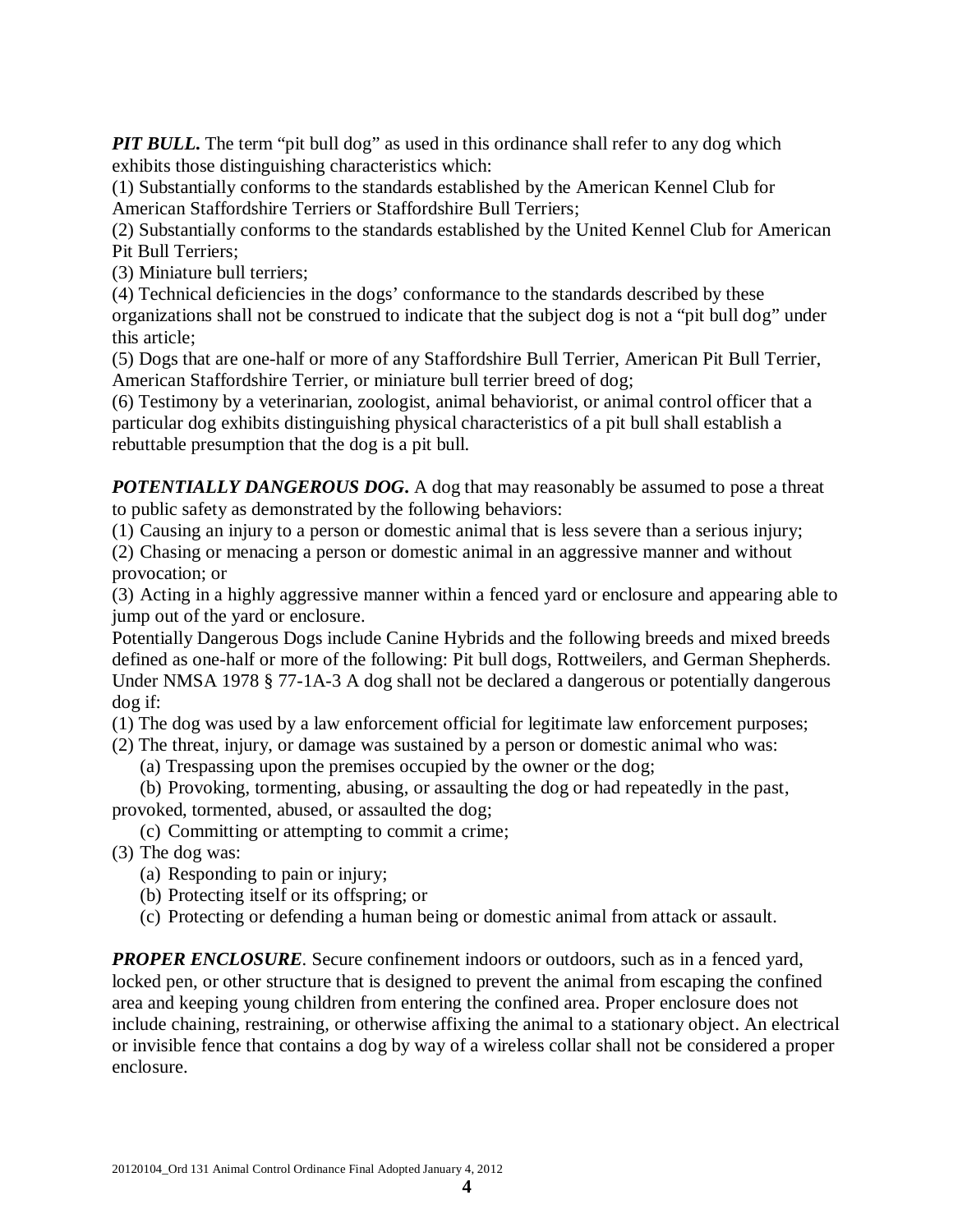*PIT BULL*. The term "pit bull dog" as used in this ordinance shall refer to any dog which exhibits those distinguishing characteristics which:

(1) Substantially conforms to the standards established by the American Kennel Club for American Staffordshire Terriers or Staffordshire Bull Terriers;

(2) Substantially conforms to the standards established by the United Kennel Club for American Pit Bull Terriers;

(3) Miniature bull terriers;

(4) Technical deficiencies in the dogs' conformance to the standards described by these organizations shall not be construed to indicate that the subject dog is not a "pit bull dog" under this article;

(5) Dogs that are one-half or more of any Staffordshire Bull Terrier, American Pit Bull Terrier, American Staffordshire Terrier, or miniature bull terrier breed of dog;

(6) Testimony by a veterinarian, zoologist, animal behaviorist, or animal control officer that a particular dog exhibits distinguishing physical characteristics of a pit bull shall establish a rebuttable presumption that the dog is a pit bull.

*POTENTIALLY DANGEROUS DOG***.** A dog that may reasonably be assumed to pose a threat to public safety as demonstrated by the following behaviors:

(1) Causing an injury to a person or domestic animal that is less severe than a serious injury;

(2) Chasing or menacing a person or domestic animal in an aggressive manner and without provocation; or

(3) Acting in a highly aggressive manner within a fenced yard or enclosure and appearing able to jump out of the yard or enclosure.

Potentially Dangerous Dogs include Canine Hybrids and the following breeds and mixed breeds defined as one-half or more of the following: Pit bull dogs, Rottweilers, and German Shepherds. Under NMSA 1978 § 77-1A-3 A dog shall not be declared a dangerous or potentially dangerous dog if:

(1) The dog was used by a law enforcement official for legitimate law enforcement purposes;

(2) The threat, injury, or damage was sustained by a person or domestic animal who was:

(a) Trespassing upon the premises occupied by the owner or the dog;

(b) Provoking, tormenting, abusing, or assaulting the dog or had repeatedly in the past, provoked, tormented, abused, or assaulted the dog;

(c) Committing or attempting to commit a crime;

- (3) The dog was:
	- (a) Responding to pain or injury;
	- (b) Protecting itself or its offspring; or
	- (c) Protecting or defending a human being or domestic animal from attack or assault.

*PROPER ENCLOSURE*. Secure confinement indoors or outdoors, such as in a fenced yard, locked pen, or other structure that is designed to prevent the animal from escaping the confined area and keeping young children from entering the confined area. Proper enclosure does not include chaining, restraining, or otherwise affixing the animal to a stationary object. An electrical or invisible fence that contains a dog by way of a wireless collar shall not be considered a proper enclosure.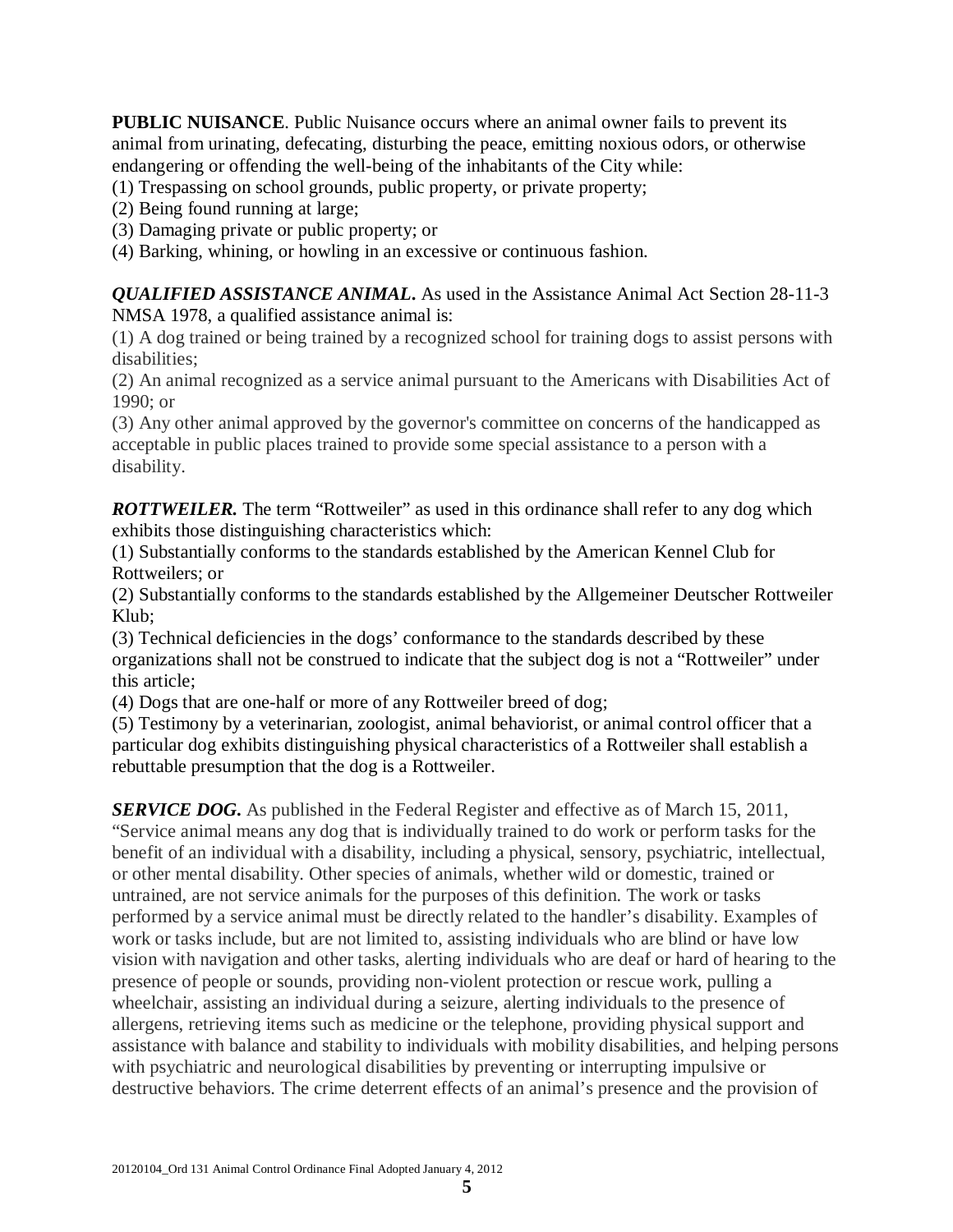**PUBLIC NUISANCE**. Public Nuisance occurs where an animal owner fails to prevent its animal from urinating, defecating, disturbing the peace, emitting noxious odors, or otherwise endangering or offending the well-being of the inhabitants of the City while:

(1) Trespassing on school grounds, public property, or private property;

(2) Being found running at large;

(3) Damaging private or public property; or

(4) Barking, whining, or howling in an excessive or continuous fashion.

*QUALIFIED ASSISTANCE ANIMAL***.** As used in the Assistance Animal Act Section 28-11-3 NMSA 1978, a qualified assistance animal is:

(1) A dog trained or being trained by a recognized school for training dogs to assist persons with disabilities;

(2) An animal recognized as a service animal pursuant to the Americans with Disabilities Act of 1990; or

(3) Any other animal approved by the governor's committee on concerns of the handicapped as acceptable in public places trained to provide some special assistance to a person with a disability.

**ROTTWEILER.** The term "Rottweiler" as used in this ordinance shall refer to any dog which exhibits those distinguishing characteristics which:

(1) Substantially conforms to the standards established by the American Kennel Club for Rottweilers; or

(2) Substantially conforms to the standards established by the Allgemeiner Deutscher Rottweiler Klub;

(3) Technical deficiencies in the dogs' conformance to the standards described by these organizations shall not be construed to indicate that the subject dog is not a "Rottweiler" under this article;

(4) Dogs that are one-half or more of any Rottweiler breed of dog;

(5) Testimony by a veterinarian, zoologist, animal behaviorist, or animal control officer that a particular dog exhibits distinguishing physical characteristics of a Rottweiler shall establish a rebuttable presumption that the dog is a Rottweiler.

*SERVICE DOG***.** As published in the Federal Register and effective as of March 15, 2011, "Service animal means any dog that is individually trained to do work or perform tasks for the benefit of an individual with a disability, including a physical, sensory, psychiatric, intellectual, or other mental disability. Other species of animals, whether wild or domestic, trained or untrained, are not service animals for the purposes of this definition. The work or tasks performed by a service animal must be directly related to the handler's disability. Examples of work or tasks include, but are not limited to, assisting individuals who are blind or have low vision with navigation and other tasks, alerting individuals who are deaf or hard of hearing to the presence of people or sounds, providing non-violent protection or rescue work, pulling a wheelchair, assisting an individual during a seizure, alerting individuals to the presence of allergens, retrieving items such as medicine or the telephone, providing physical support and assistance with balance and stability to individuals with mobility disabilities, and helping persons with psychiatric and neurological disabilities by preventing or interrupting impulsive or destructive behaviors. The crime deterrent effects of an animal's presence and the provision of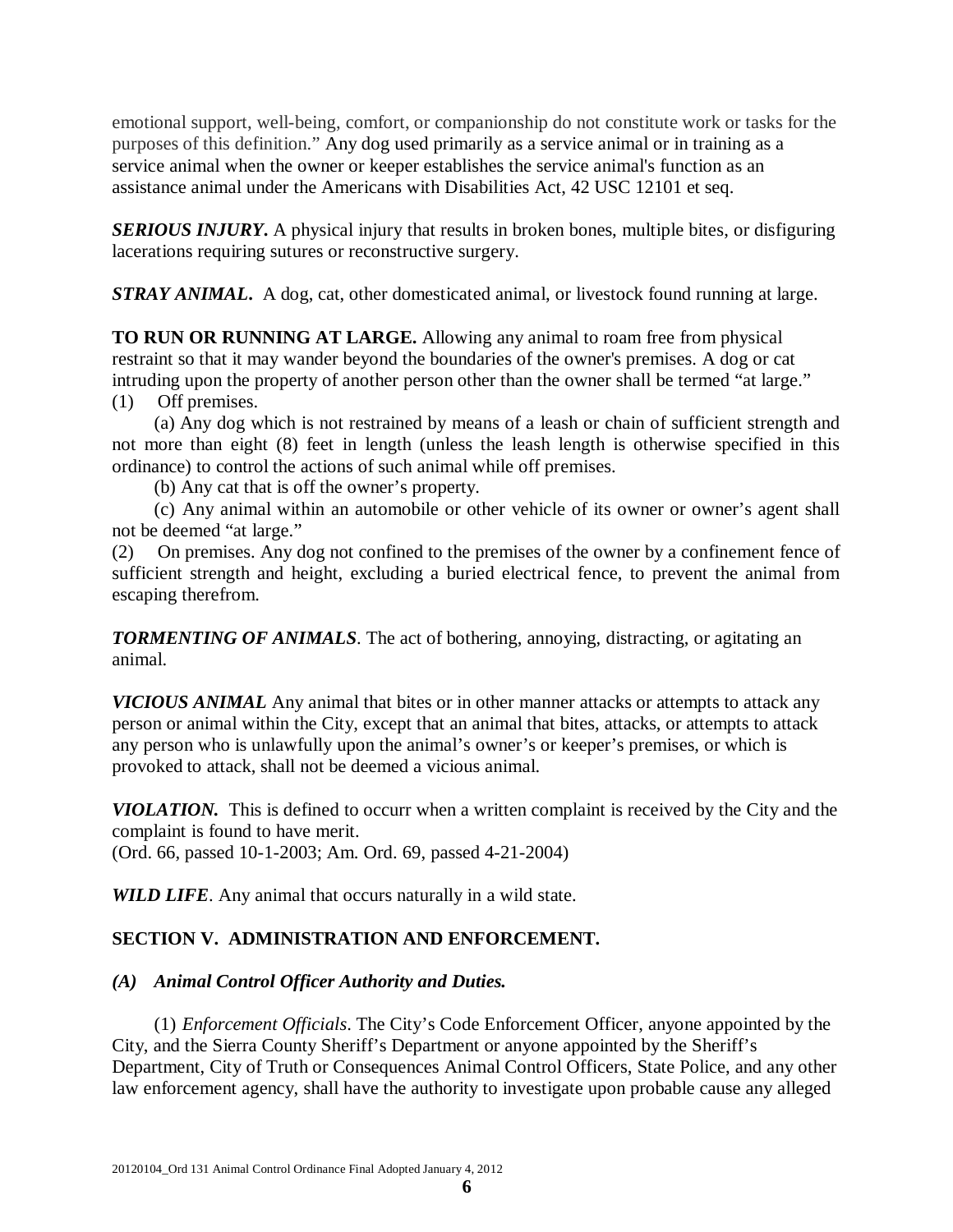emotional support, well-being, comfort, or companionship do not constitute work or tasks for the purposes of this definition." Any dog used primarily as a service animal or in training as a service animal when the owner or keeper establishes the service animal's function as an assistance animal under the Americans with Disabilities Act, 42 USC 12101 et seq.

*SERIOUS INJURY*. A physical injury that results in broken bones, multiple bites, or disfiguring lacerations requiring sutures or reconstructive surgery.

*STRAY ANIMAL***.** A dog, cat, other domesticated animal, or livestock found running at large.

**TO RUN OR RUNNING AT LARGE.** Allowing any animal to roam free from physical restraint so that it may wander beyond the boundaries of the owner's premises. A dog or cat intruding upon the property of another person other than the owner shall be termed "at large." (1) Off premises.

(a) Any dog which is not restrained by means of a leash or chain of sufficient strength and not more than eight (8) feet in length (unless the leash length is otherwise specified in this ordinance) to control the actions of such animal while off premises.

(b) Any cat that is off the owner's property.

(c) Any animal within an automobile or other vehicle of its owner or owner's agent shall not be deemed "at large."

(2) On premises. Any dog not confined to the premises of the owner by a confinement fence of sufficient strength and height, excluding a buried electrical fence, to prevent the animal from escaping therefrom.

*TORMENTING OF ANIMALS*. The act of bothering, annoying, distracting, or agitating an animal.

*VICIOUS ANIMAL* Any animal that bites or in other manner attacks or attempts to attack any person or animal within the City, except that an animal that bites, attacks, or attempts to attack any person who is unlawfully upon the animal's owner's or keeper's premises, or which is provoked to attack, shall not be deemed a vicious animal.

*VIOLATION.* This is defined to occurr when a written complaint is received by the City and the complaint is found to have merit.

(Ord. 66, passed 10-1-2003; Am. Ord. 69, passed 4-21-2004)

*WILD LIFE*. Any animal that occurs naturally in a wild state.

# **SECTION V. ADMINISTRATION AND ENFORCEMENT.**

# *(A) Animal Control Officer Authority and Duties.*

(1) *Enforcement Officials*. The City's Code Enforcement Officer, anyone appointed by the City, and the Sierra County Sheriff's Department or anyone appointed by the Sheriff's Department, City of Truth or Consequences Animal Control Officers, State Police, and any other law enforcement agency, shall have the authority to investigate upon probable cause any alleged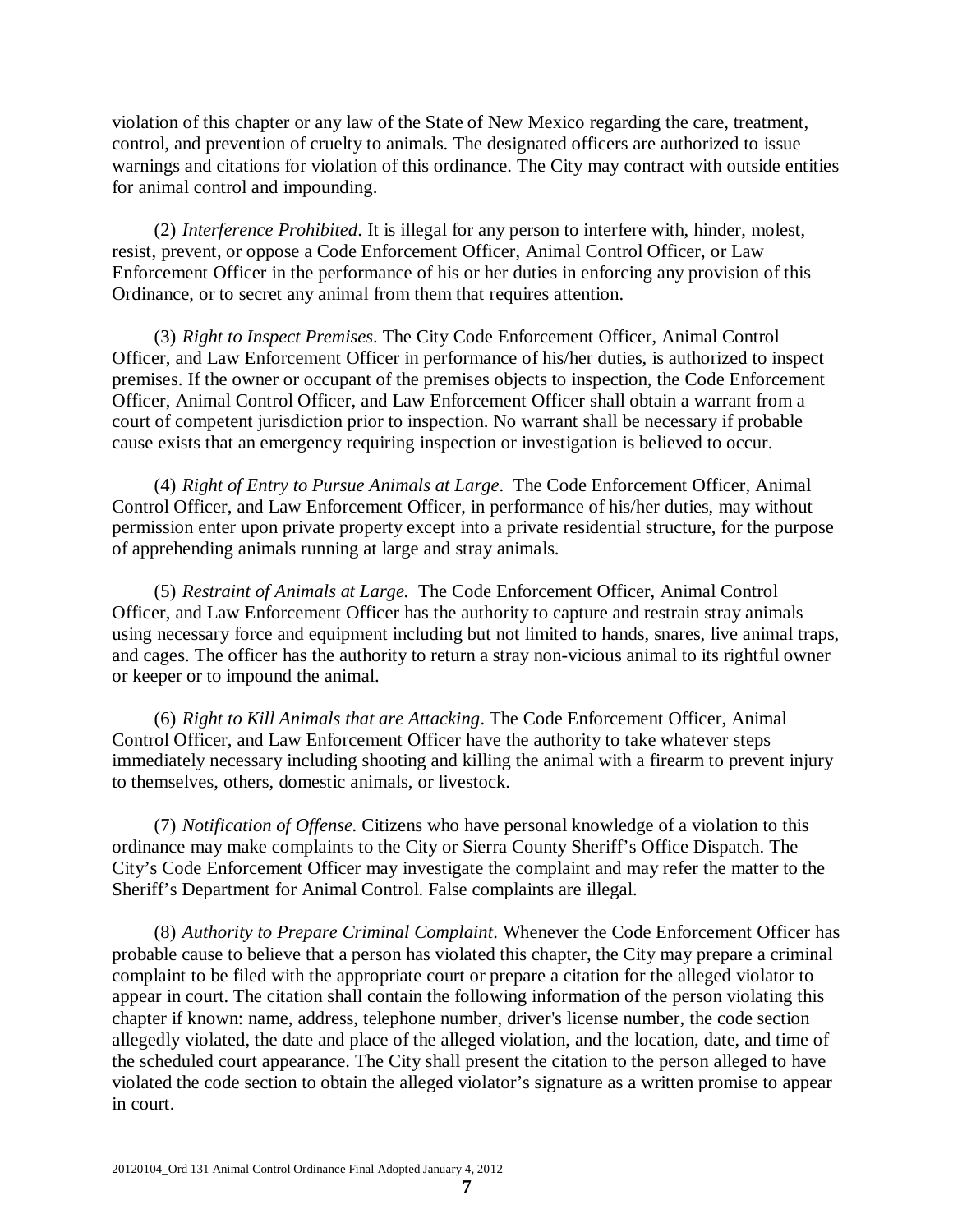violation of this chapter or any law of the State of New Mexico regarding the care, treatment, control, and prevention of cruelty to animals. The designated officers are authorized to issue warnings and citations for violation of this ordinance. The City may contract with outside entities for animal control and impounding.

(2) *Interference Prohibited*. It is illegal for any person to interfere with, hinder, molest, resist, prevent, or oppose a Code Enforcement Officer, Animal Control Officer, or Law Enforcement Officer in the performance of his or her duties in enforcing any provision of this Ordinance, or to secret any animal from them that requires attention.

(3) *Right to Inspect Premises*. The City Code Enforcement Officer, Animal Control Officer, and Law Enforcement Officer in performance of his/her duties, is authorized to inspect premises. If the owner or occupant of the premises objects to inspection, the Code Enforcement Officer, Animal Control Officer, and Law Enforcement Officer shall obtain a warrant from a court of competent jurisdiction prior to inspection. No warrant shall be necessary if probable cause exists that an emergency requiring inspection or investigation is believed to occur.

(4) *Right of Entry to Pursue Animals at Large*. The Code Enforcement Officer, Animal Control Officer, and Law Enforcement Officer, in performance of his/her duties, may without permission enter upon private property except into a private residential structure, for the purpose of apprehending animals running at large and stray animals.

(5) *Restraint of Animals at Large.* The Code Enforcement Officer, Animal Control Officer, and Law Enforcement Officer has the authority to capture and restrain stray animals using necessary force and equipment including but not limited to hands, snares, live animal traps, and cages. The officer has the authority to return a stray non-vicious animal to its rightful owner or keeper or to impound the animal.

(6) *Right to Kill Animals that are Attacking*. The Code Enforcement Officer, Animal Control Officer, and Law Enforcement Officer have the authority to take whatever steps immediately necessary including shooting and killing the animal with a firearm to prevent injury to themselves, others, domestic animals, or livestock.

(7) *Notification of Offense.* Citizens who have personal knowledge of a violation to this ordinance may make complaints to the City or Sierra County Sheriff's Office Dispatch. The City's Code Enforcement Officer may investigate the complaint and may refer the matter to the Sheriff's Department for Animal Control. False complaints are illegal.

(8) *Authority to Prepare Criminal Complaint*. Whenever the Code Enforcement Officer has probable cause to believe that a person has violated this chapter, the City may prepare a criminal complaint to be filed with the appropriate court or prepare a citation for the alleged violator to appear in court. The citation shall contain the following information of the person violating this chapter if known: name, address, telephone number, driver's license number, the code section allegedly violated, the date and place of the alleged violation, and the location, date, and time of the scheduled court appearance. The City shall present the citation to the person alleged to have violated the code section to obtain the alleged violator's signature as a written promise to appear in court.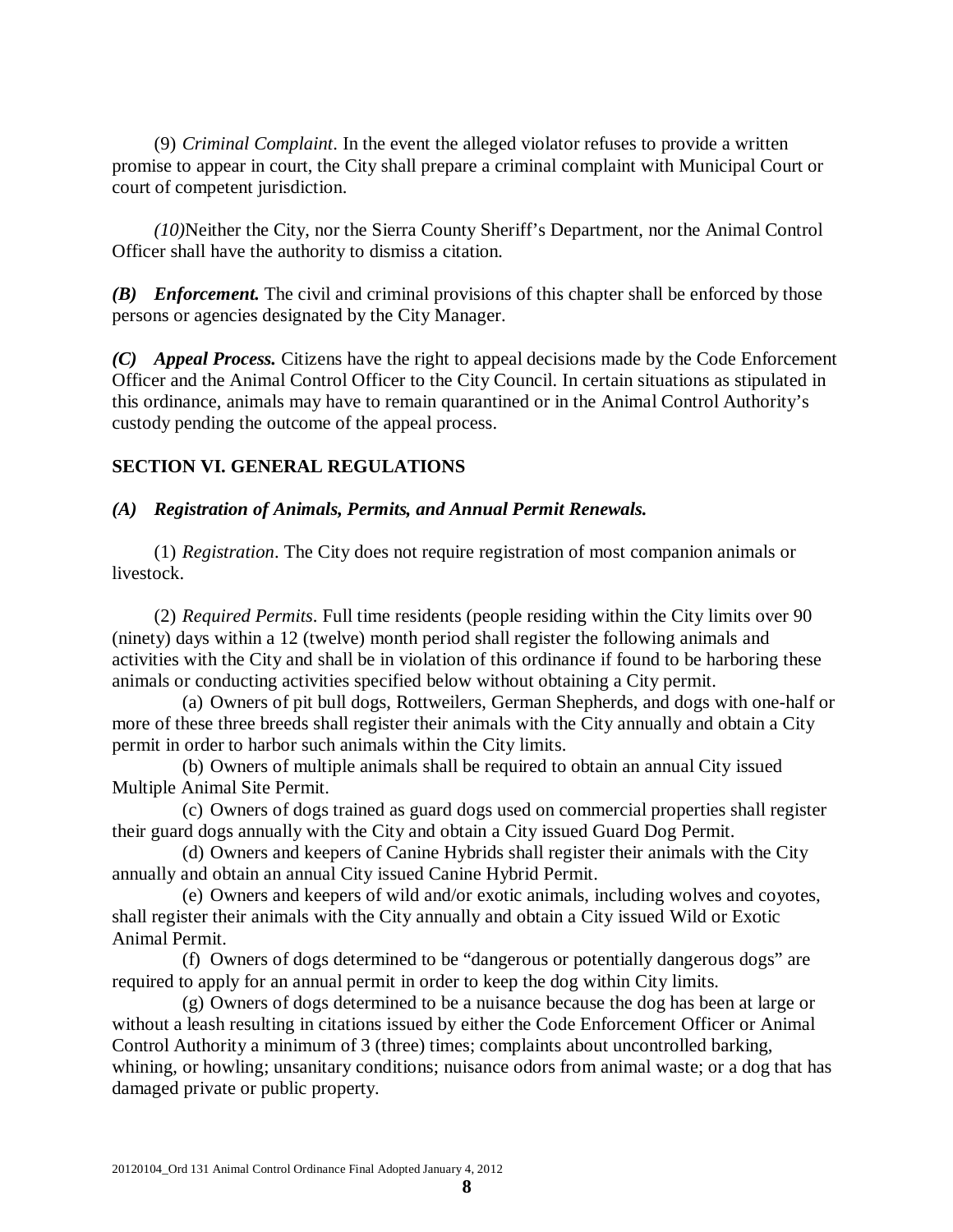(9) *Criminal Complaint*. In the event the alleged violator refuses to provide a written promise to appear in court, the City shall prepare a criminal complaint with Municipal Court or court of competent jurisdiction.

*(10)*Neither the City, nor the Sierra County Sheriff's Department, nor the Animal Control Officer shall have the authority to dismiss a citation*.*

*(B) Enforcement.* The civil and criminal provisions of this chapter shall be enforced by those persons or agencies designated by the City Manager.

*(C) Appeal Process.* Citizens have the right to appeal decisions made by the Code Enforcement Officer and the Animal Control Officer to the City Council. In certain situations as stipulated in this ordinance, animals may have to remain quarantined or in the Animal Control Authority's custody pending the outcome of the appeal process.

## **SECTION VI. GENERAL REGULATIONS**

#### *(A) Registration of Animals, Permits, and Annual Permit Renewals.*

(1) *Registration*. The City does not require registration of most companion animals or livestock.

(2) *Required Permits*. Full time residents (people residing within the City limits over 90 (ninety) days within a 12 (twelve) month period shall register the following animals and activities with the City and shall be in violation of this ordinance if found to be harboring these animals or conducting activities specified below without obtaining a City permit.

(a) Owners of pit bull dogs, Rottweilers, German Shepherds, and dogs with one-half or more of these three breeds shall register their animals with the City annually and obtain a City permit in order to harbor such animals within the City limits.

(b) Owners of multiple animals shall be required to obtain an annual City issued Multiple Animal Site Permit.

(c) Owners of dogs trained as guard dogs used on commercial properties shall register their guard dogs annually with the City and obtain a City issued Guard Dog Permit.

(d) Owners and keepers of Canine Hybrids shall register their animals with the City annually and obtain an annual City issued Canine Hybrid Permit.

(e) Owners and keepers of wild and/or exotic animals, including wolves and coyotes, shall register their animals with the City annually and obtain a City issued Wild or Exotic Animal Permit.

(f) Owners of dogs determined to be "dangerous or potentially dangerous dogs" are required to apply for an annual permit in order to keep the dog within City limits.

(g) Owners of dogs determined to be a nuisance because the dog has been at large or without a leash resulting in citations issued by either the Code Enforcement Officer or Animal Control Authority a minimum of 3 (three) times; complaints about uncontrolled barking, whining, or howling; unsanitary conditions; nuisance odors from animal waste; or a dog that has damaged private or public property.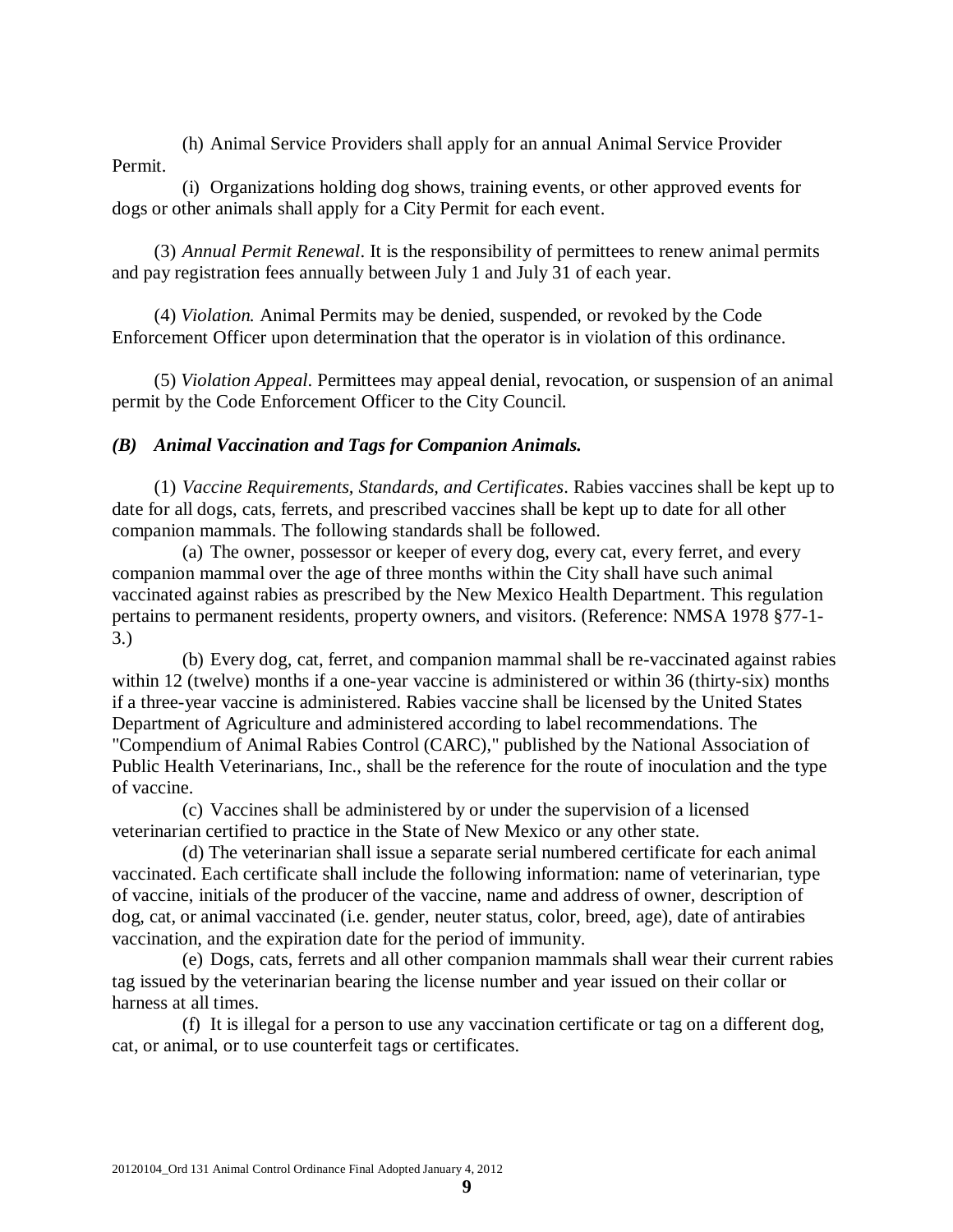(h) Animal Service Providers shall apply for an annual Animal Service Provider Permit.

(i) Organizations holding dog shows, training events, or other approved events for dogs or other animals shall apply for a City Permit for each event.

(3) *Annual Permit Renewal*. It is the responsibility of permittees to renew animal permits and pay registration fees annually between July 1 and July 31 of each year.

(4) *Violation.* Animal Permits may be denied, suspended, or revoked by the Code Enforcement Officer upon determination that the operator is in violation of this ordinance.

(5) *Violation Appeal*. Permittees may appeal denial, revocation, or suspension of an animal permit by the Code Enforcement Officer to the City Council.

## *(B) Animal Vaccination and Tags for Companion Animals.*

(1) *Vaccine Requirements, Standards, and Certificates*. Rabies vaccines shall be kept up to date for all dogs, cats, ferrets, and prescribed vaccines shall be kept up to date for all other companion mammals. The following standards shall be followed.

(a) The owner, possessor or keeper of every dog, every cat, every ferret, and every companion mammal over the age of three months within the City shall have such animal vaccinated against rabies as prescribed by the New Mexico Health Department. This regulation pertains to permanent residents, property owners, and visitors. (Reference: NMSA 1978 §77-1- 3.)

(b) Every dog, cat, ferret, and companion mammal shall be re-vaccinated against rabies within 12 (twelve) months if a one-year vaccine is administered or within 36 (thirty-six) months if a three-year vaccine is administered. Rabies vaccine shall be licensed by the United States Department of Agriculture and administered according to label recommendations. The "Compendium of Animal Rabies Control (CARC)," published by the National Association of Public Health Veterinarians, Inc., shall be the reference for the route of inoculation and the type of vaccine.

(c) Vaccines shall be administered by or under the supervision of a licensed veterinarian certified to practice in the State of New Mexico or any other state.

(d) The veterinarian shall issue a separate serial numbered certificate for each animal vaccinated. Each certificate shall include the following information: name of veterinarian, type of vaccine, initials of the producer of the vaccine, name and address of owner, description of dog, cat, or animal vaccinated (i.e. gender, neuter status, color, breed, age), date of antirabies vaccination, and the expiration date for the period of immunity.

(e) Dogs, cats, ferrets and all other companion mammals shall wear their current rabies tag issued by the veterinarian bearing the license number and year issued on their collar or harness at all times.

(f) It is illegal for a person to use any vaccination certificate or tag on a different dog, cat, or animal, or to use counterfeit tags or certificates.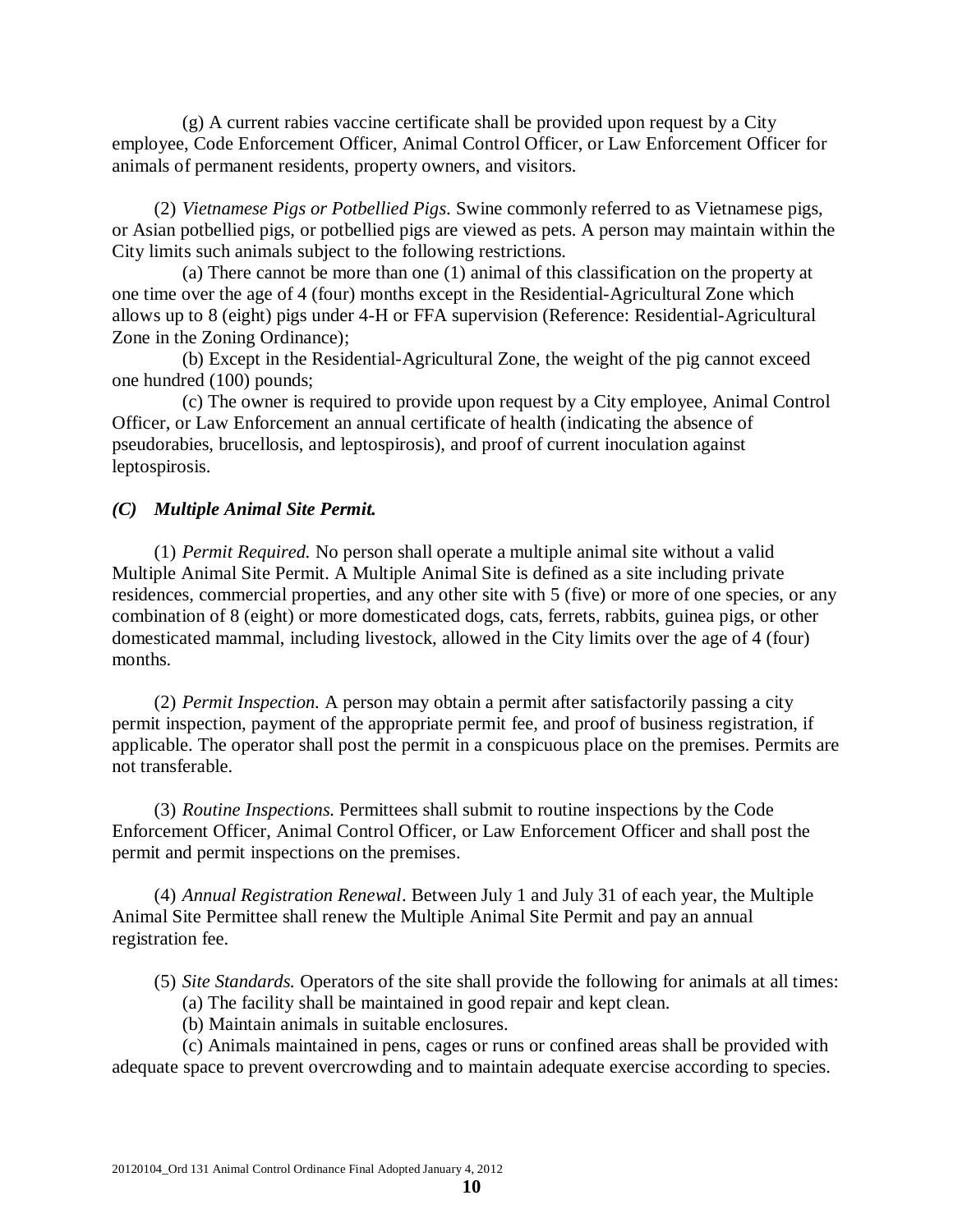(g) A current rabies vaccine certificate shall be provided upon request by a City employee, Code Enforcement Officer, Animal Control Officer, or Law Enforcement Officer for animals of permanent residents, property owners, and visitors.

(2) *Vietnamese Pigs or Potbellied Pigs*. Swine commonly referred to as Vietnamese pigs, or Asian potbellied pigs, or potbellied pigs are viewed as pets. A person may maintain within the City limits such animals subject to the following restrictions.

(a) There cannot be more than one (1) animal of this classification on the property at one time over the age of 4 (four) months except in the Residential-Agricultural Zone which allows up to 8 (eight) pigs under 4-H or FFA supervision (Reference: Residential-Agricultural Zone in the Zoning Ordinance);

(b) Except in the Residential-Agricultural Zone, the weight of the pig cannot exceed one hundred (100) pounds;

(c) The owner is required to provide upon request by a City employee, Animal Control Officer, or Law Enforcement an annual certificate of health (indicating the absence of pseudorabies, brucellosis, and leptospirosis), and proof of current inoculation against leptospirosis.

## *(C) Multiple Animal Site Permit.*

(1) *Permit Required.* No person shall operate a multiple animal site without a valid Multiple Animal Site Permit. A Multiple Animal Site is defined as a site including private residences, commercial properties, and any other site with 5 (five) or more of one species, or any combination of 8 (eight) or more domesticated dogs, cats, ferrets, rabbits, guinea pigs, or other domesticated mammal, including livestock, allowed in the City limits over the age of 4 (four) months.

(2) *Permit Inspection.* A person may obtain a permit after satisfactorily passing a city permit inspection, payment of the appropriate permit fee, and proof of business registration, if applicable. The operator shall post the permit in a conspicuous place on the premises. Permits are not transferable.

(3) *Routine Inspections.* Permittees shall submit to routine inspections by the Code Enforcement Officer, Animal Control Officer, or Law Enforcement Officer and shall post the permit and permit inspections on the premises.

(4) *Annual Registration Renewal*. Between July 1 and July 31 of each year, the Multiple Animal Site Permittee shall renew the Multiple Animal Site Permit and pay an annual registration fee.

(5) *Site Standards.* Operators of the site shall provide the following for animals at all times:

- (a) The facility shall be maintained in good repair and kept clean.
- (b) Maintain animals in suitable enclosures.

(c) Animals maintained in pens, cages or runs or confined areas shall be provided with adequate space to prevent overcrowding and to maintain adequate exercise according to species.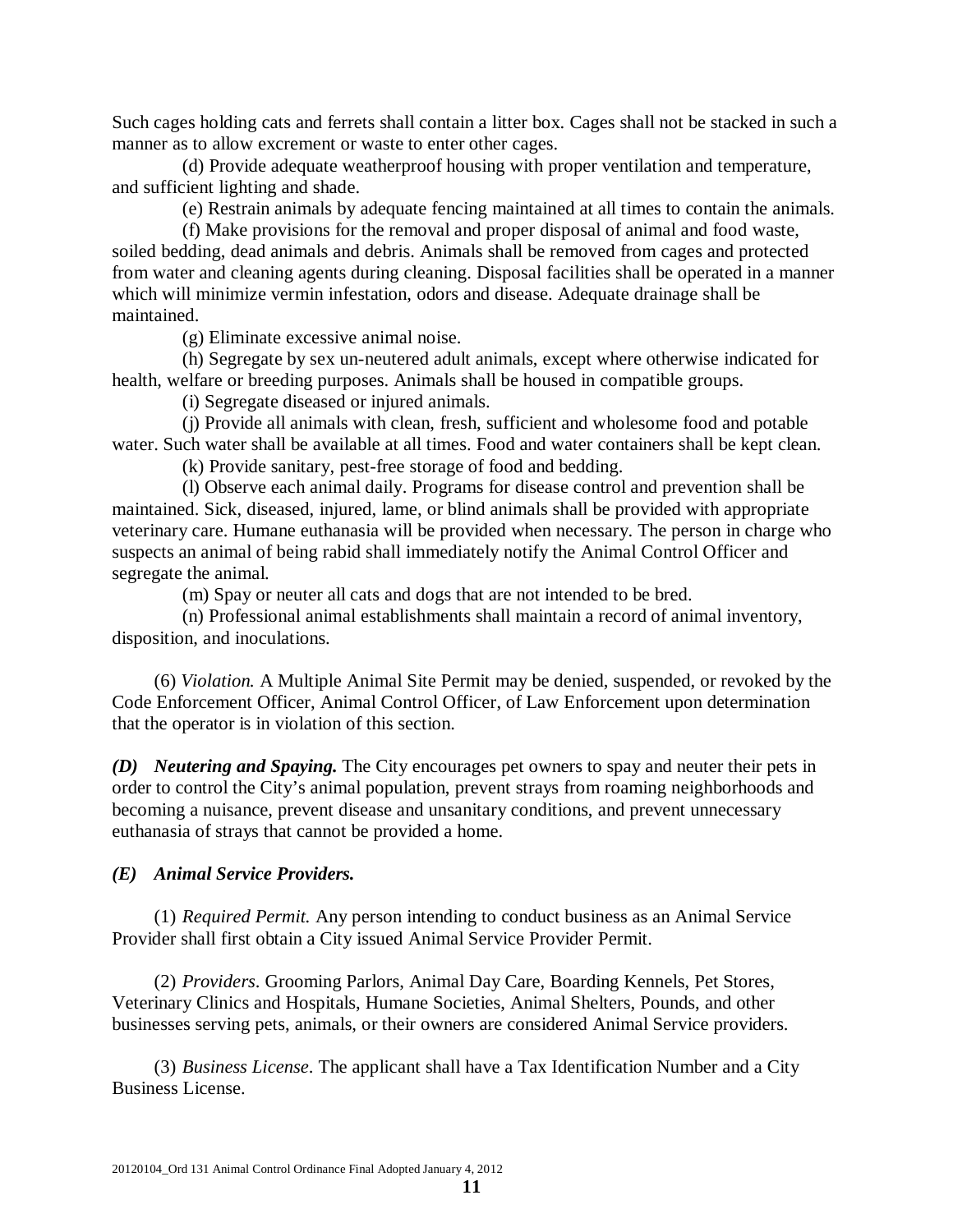Such cages holding cats and ferrets shall contain a litter box. Cages shall not be stacked in such a manner as to allow excrement or waste to enter other cages.

(d) Provide adequate weatherproof housing with proper ventilation and temperature, and sufficient lighting and shade.

(e) Restrain animals by adequate fencing maintained at all times to contain the animals.

(f) Make provisions for the removal and proper disposal of animal and food waste, soiled bedding, dead animals and debris. Animals shall be removed from cages and protected from water and cleaning agents during cleaning. Disposal facilities shall be operated in a manner which will minimize vermin infestation, odors and disease. Adequate drainage shall be maintained.

(g) Eliminate excessive animal noise.

(h) Segregate by sex un-neutered adult animals, except where otherwise indicated for health, welfare or breeding purposes. Animals shall be housed in compatible groups.

(i) Segregate diseased or injured animals.

(j) Provide all animals with clean, fresh, sufficient and wholesome food and potable water. Such water shall be available at all times. Food and water containers shall be kept clean.

(k) Provide sanitary, pest-free storage of food and bedding.

(l) Observe each animal daily. Programs for disease control and prevention shall be maintained. Sick, diseased, injured, lame, or blind animals shall be provided with appropriate veterinary care. Humane euthanasia will be provided when necessary. The person in charge who suspects an animal of being rabid shall immediately notify the Animal Control Officer and segregate the animal.

(m) Spay or neuter all cats and dogs that are not intended to be bred.

(n) Professional animal establishments shall maintain a record of animal inventory, disposition, and inoculations.

(6) *Violation.* A Multiple Animal Site Permit may be denied, suspended, or revoked by the Code Enforcement Officer, Animal Control Officer, of Law Enforcement upon determination that the operator is in violation of this section.

*(D) Neutering and Spaying.* The City encourages pet owners to spay and neuter their pets in order to control the City's animal population, prevent strays from roaming neighborhoods and becoming a nuisance, prevent disease and unsanitary conditions, and prevent unnecessary euthanasia of strays that cannot be provided a home.

#### *(E) Animal Service Providers.*

(1) *Required Permit.* Any person intending to conduct business as an Animal Service Provider shall first obtain a City issued Animal Service Provider Permit.

(2) *Providers*. Grooming Parlors, Animal Day Care, Boarding Kennels, Pet Stores, Veterinary Clinics and Hospitals, Humane Societies, Animal Shelters, Pounds, and other businesses serving pets, animals, or their owners are considered Animal Service providers.

(3) *Business License*. The applicant shall have a Tax Identification Number and a City Business License.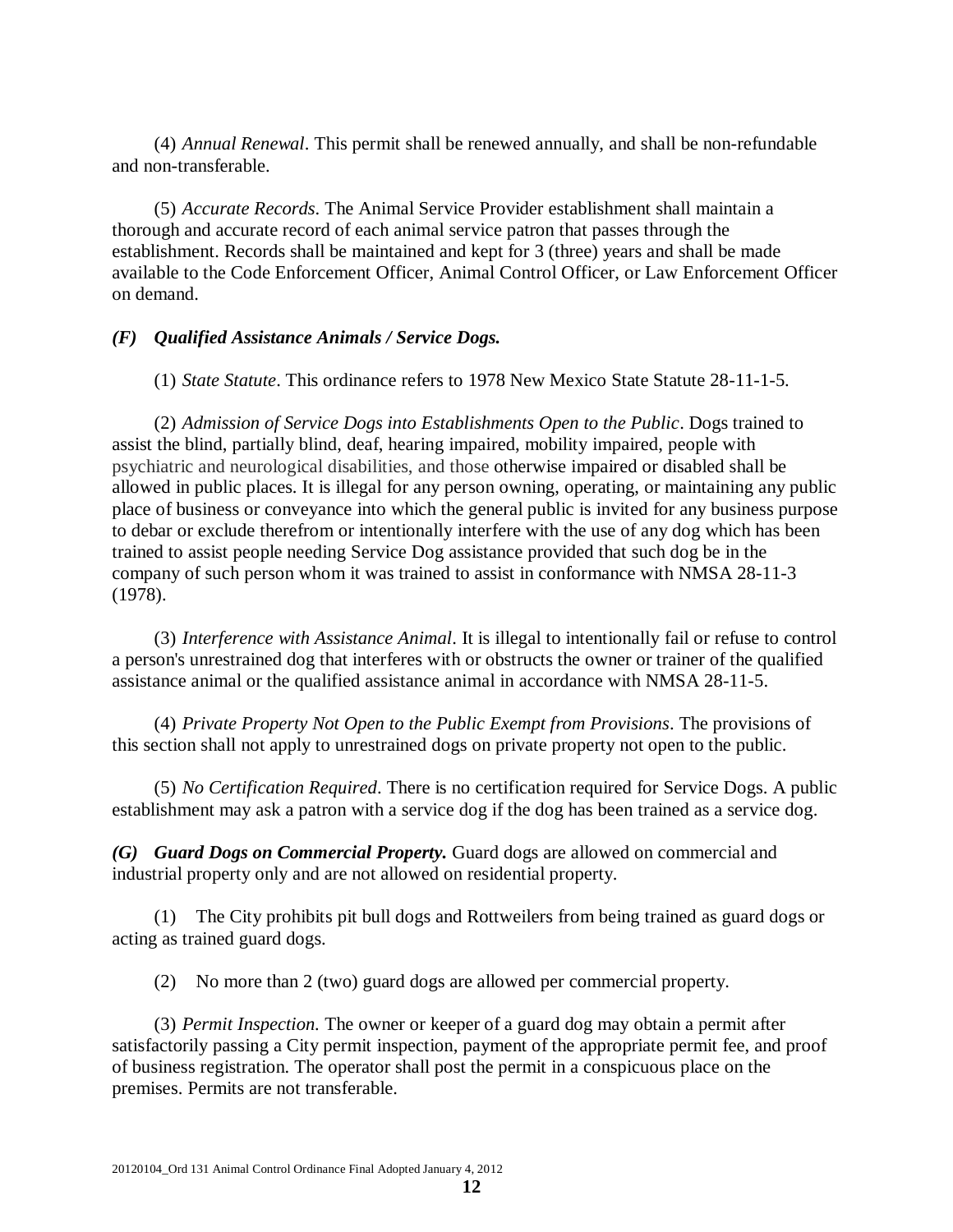(4) *Annual Renewal*. This permit shall be renewed annually, and shall be non-refundable and non-transferable.

(5) *Accurate Records*. The Animal Service Provider establishment shall maintain a thorough and accurate record of each animal service patron that passes through the establishment. Records shall be maintained and kept for 3 (three) years and shall be made available to the Code Enforcement Officer, Animal Control Officer, or Law Enforcement Officer on demand.

## *(F) Qualified Assistance Animals / Service Dogs.*

(1) *State Statute*. This ordinance refers to 1978 New Mexico State Statute 28-11-1-5.

(2) *Admission of Service Dogs into Establishments Open to the Public*. Dogs trained to assist the blind, partially blind, deaf, hearing impaired, mobility impaired, people with psychiatric and neurological disabilities, and those otherwise impaired or disabled shall be allowed in public places. It is illegal for any person owning, operating, or maintaining any public place of business or conveyance into which the general public is invited for any business purpose to debar or exclude therefrom or intentionally interfere with the use of any dog which has been trained to assist people needing Service Dog assistance provided that such dog be in the company of such person whom it was trained to assist in conformance with NMSA 28-11-3 (1978).

(3) *Interference with Assistance Animal*. It is illegal to intentionally fail or refuse to control a person's unrestrained dog that interferes with or obstructs the owner or trainer of the qualified assistance animal or the qualified assistance animal in accordance with NMSA 28-11-5.

(4) *Private Property Not Open to the Public Exempt from Provisions*. The provisions of this section shall not apply to unrestrained dogs on private property not open to the public.

(5) *No Certification Required*. There is no certification required for Service Dogs. A public establishment may ask a patron with a service dog if the dog has been trained as a service dog.

*(G) Guard Dogs on Commercial Property.* Guard dogs are allowed on commercial and industrial property only and are not allowed on residential property.

(1) The City prohibits pit bull dogs and Rottweilers from being trained as guard dogs or acting as trained guard dogs.

(2) No more than 2 (two) guard dogs are allowed per commercial property.

(3) *Permit Inspection.* The owner or keeper of a guard dog may obtain a permit after satisfactorily passing a City permit inspection, payment of the appropriate permit fee, and proof of business registration. The operator shall post the permit in a conspicuous place on the premises. Permits are not transferable.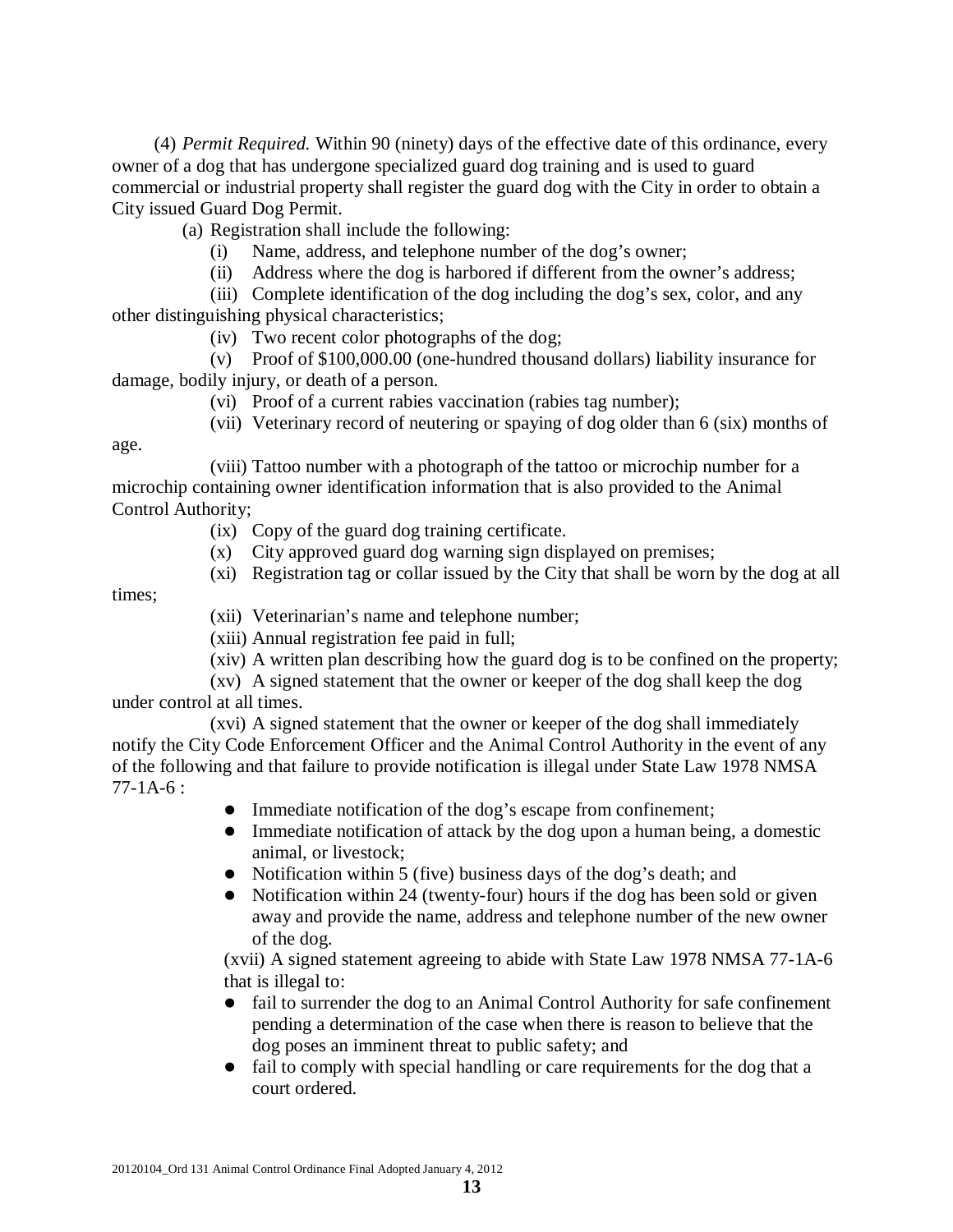(4) *Permit Required.* Within 90 (ninety) days of the effective date of this ordinance, every owner of a dog that has undergone specialized guard dog training and is used to guard commercial or industrial property shall register the guard dog with the City in order to obtain a City issued Guard Dog Permit.

(a) Registration shall include the following:

- (i) Name, address, and telephone number of the dog's owner;
- (ii) Address where the dog is harbored if different from the owner's address;
- (iii) Complete identification of the dog including the dog's sex, color, and any

other distinguishing physical characteristics;

(iv) Two recent color photographs of the dog;

(v) Proof of \$100,000.00 (one-hundred thousand dollars) liability insurance for damage, bodily injury, or death of a person.

- (vi) Proof of a current rabies vaccination (rabies tag number);
- (vii) Veterinary record of neutering or spaying of dog older than 6 (six) months of

age.

(viii) Tattoo number with a photograph of the tattoo or microchip number for a microchip containing owner identification information that is also provided to the Animal Control Authority;

(ix) Copy of the guard dog training certificate.

- (x) City approved guard dog warning sign displayed on premises;
- (xi) Registration tag or collar issued by the City that shall be worn by the dog at all

times;

(xii) Veterinarian's name and telephone number;

(xiii) Annual registration fee paid in full;

(xiv) A written plan describing how the guard dog is to be confined on the property;

(xv) A signed statement that the owner or keeper of the dog shall keep the dog under control at all times.

(xvi) A signed statement that the owner or keeper of the dog shall immediately notify the City Code Enforcement Officer and the Animal Control Authority in the event of any of the following and that failure to provide notification is illegal under State Law 1978 NMSA 77-1A-6 :

- Immediate notification of the dog's escape from confinement;
- Immediate notification of attack by the dog upon a human being, a domestic animal, or livestock;
- Notification within 5 (five) business days of the dog's death; and
- Notification within 24 (twenty-four) hours if the dog has been sold or given away and provide the name, address and telephone number of the new owner of the dog.

(xvii) A signed statement agreeing to abide with State Law 1978 NMSA 77-1A-6 that is illegal to:

- fail to surrender the dog to an Animal Control Authority for safe confinement pending a determination of the case when there is reason to believe that the dog poses an imminent threat to public safety; and
- fail to comply with special handling or care requirements for the dog that a court ordered.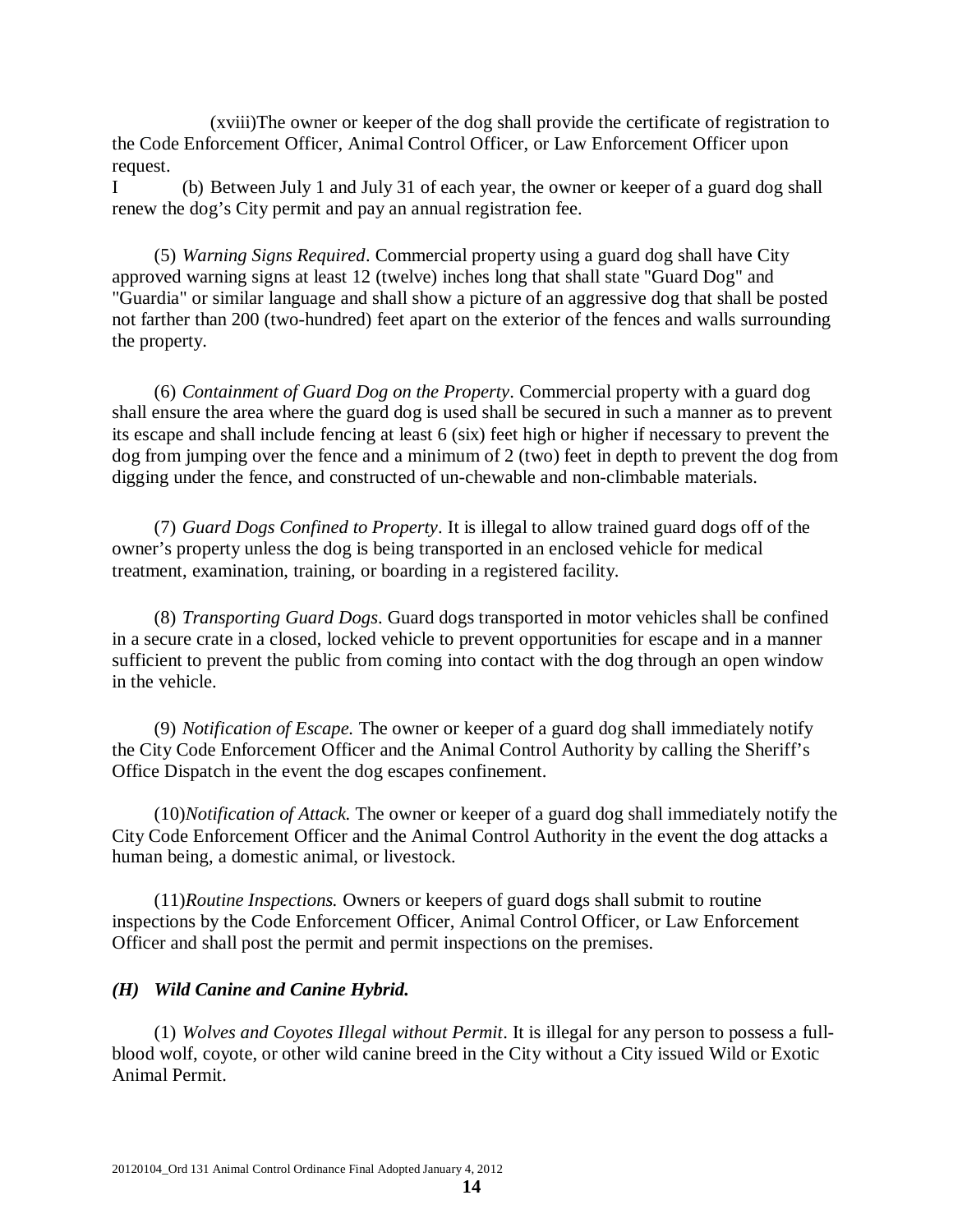(xviii)The owner or keeper of the dog shall provide the certificate of registration to the Code Enforcement Officer, Animal Control Officer, or Law Enforcement Officer upon request.

I (b) Between July 1 and July 31 of each year, the owner or keeper of a guard dog shall renew the dog's City permit and pay an annual registration fee.

(5) *Warning Signs Required*. Commercial property using a guard dog shall have City approved warning signs at least 12 (twelve) inches long that shall state "Guard Dog" and "Guardia" or similar language and shall show a picture of an aggressive dog that shall be posted not farther than 200 (two-hundred) feet apart on the exterior of the fences and walls surrounding the property.

(6) *Containment of Guard Dog on the Property*. Commercial property with a guard dog shall ensure the area where the guard dog is used shall be secured in such a manner as to prevent its escape and shall include fencing at least 6 (six) feet high or higher if necessary to prevent the dog from jumping over the fence and a minimum of 2 (two) feet in depth to prevent the dog from digging under the fence, and constructed of un-chewable and non-climbable materials.

(7) *Guard Dogs Confined to Property*. It is illegal to allow trained guard dogs off of the owner's property unless the dog is being transported in an enclosed vehicle for medical treatment, examination, training, or boarding in a registered facility.

(8) *Transporting Guard Dogs*. Guard dogs transported in motor vehicles shall be confined in a secure crate in a closed, locked vehicle to prevent opportunities for escape and in a manner sufficient to prevent the public from coming into contact with the dog through an open window in the vehicle.

(9) *Notification of Escape.* The owner or keeper of a guard dog shall immediately notify the City Code Enforcement Officer and the Animal Control Authority by calling the Sheriff's Office Dispatch in the event the dog escapes confinement.

(10)*Notification of Attack.* The owner or keeper of a guard dog shall immediately notify the City Code Enforcement Officer and the Animal Control Authority in the event the dog attacks a human being, a domestic animal, or livestock.

(11)*Routine Inspections.* Owners or keepers of guard dogs shall submit to routine inspections by the Code Enforcement Officer, Animal Control Officer, or Law Enforcement Officer and shall post the permit and permit inspections on the premises.

#### *(H) Wild Canine and Canine Hybrid.*

(1) *Wolves and Coyotes Illegal without Permit*. It is illegal for any person to possess a fullblood wolf, coyote, or other wild canine breed in the City without a City issued Wild or Exotic Animal Permit.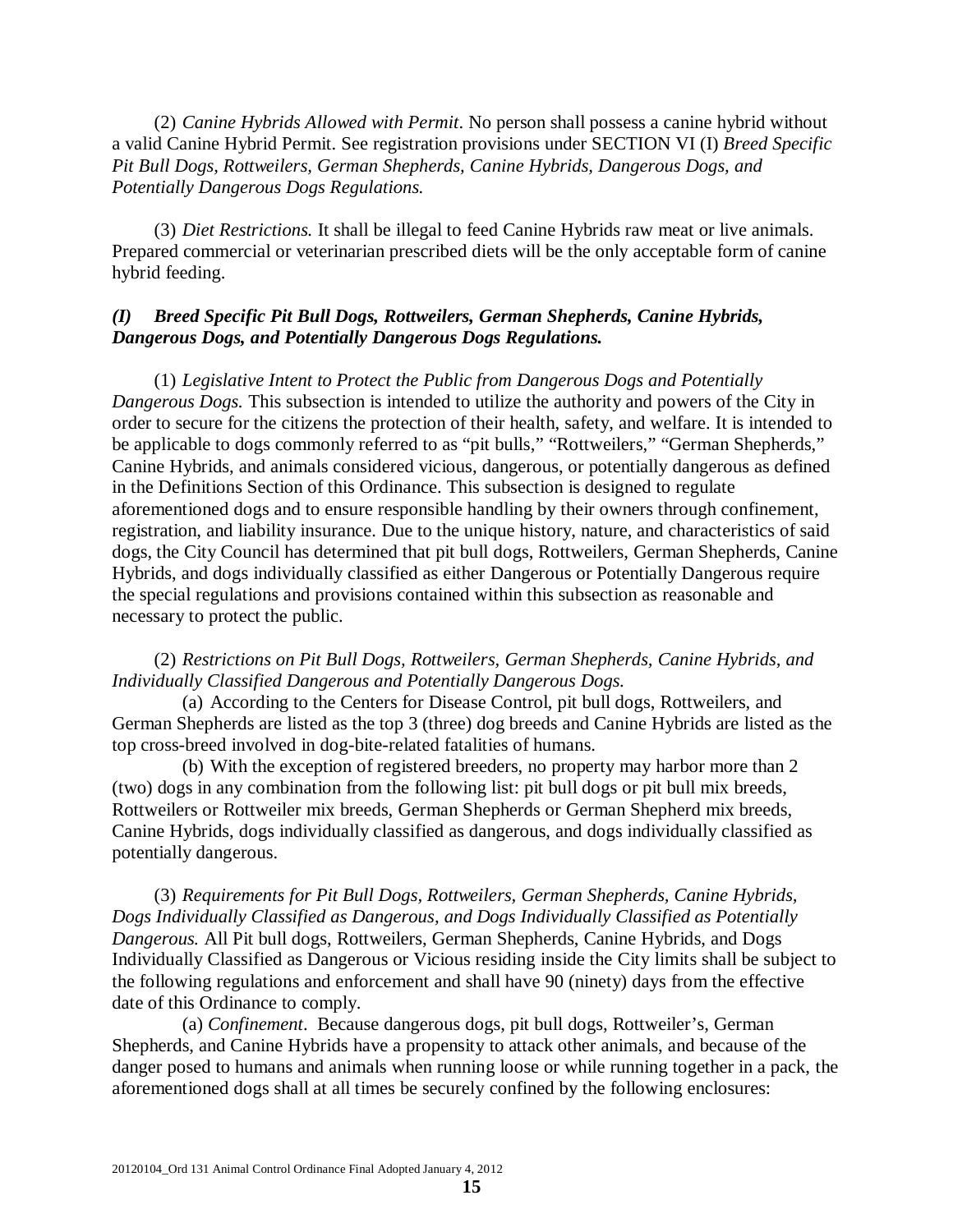(2) *Canine Hybrids Allowed with Permit*. No person shall possess a canine hybrid without a valid Canine Hybrid Permit. See registration provisions under SECTION VI (I) *Breed Specific Pit Bull Dogs, Rottweilers, German Shepherds, Canine Hybrids, Dangerous Dogs, and Potentially Dangerous Dogs Regulations.* 

(3) *Diet Restrictions.* It shall be illegal to feed Canine Hybrids raw meat or live animals. Prepared commercial or veterinarian prescribed diets will be the only acceptable form of canine hybrid feeding.

## *(I) Breed Specific Pit Bull Dogs, Rottweilers, German Shepherds, Canine Hybrids, Dangerous Dogs, and Potentially Dangerous Dogs Regulations.*

(1) *Legislative Intent to Protect the Public from Dangerous Dogs and Potentially Dangerous Dogs.* This subsection is intended to utilize the authority and powers of the City in order to secure for the citizens the protection of their health, safety, and welfare. It is intended to be applicable to dogs commonly referred to as "pit bulls," "Rottweilers," "German Shepherds," Canine Hybrids, and animals considered vicious, dangerous, or potentially dangerous as defined in the Definitions Section of this Ordinance. This subsection is designed to regulate aforementioned dogs and to ensure responsible handling by their owners through confinement, registration, and liability insurance. Due to the unique history, nature, and characteristics of said dogs, the City Council has determined that pit bull dogs, Rottweilers, German Shepherds, Canine Hybrids, and dogs individually classified as either Dangerous or Potentially Dangerous require the special regulations and provisions contained within this subsection as reasonable and necessary to protect the public.

## (2) *Restrictions on Pit Bull Dogs, Rottweilers, German Shepherds, Canine Hybrids, and Individually Classified Dangerous and Potentially Dangerous Dogs.*

(a) According to the Centers for Disease Control, pit bull dogs, Rottweilers, and German Shepherds are listed as the top 3 (three) dog breeds and Canine Hybrids are listed as the top cross-breed involved in dog-bite-related fatalities of humans.

(b) With the exception of registered breeders, no property may harbor more than 2 (two) dogs in any combination from the following list: pit bull dogs or pit bull mix breeds, Rottweilers or Rottweiler mix breeds, German Shepherds or German Shepherd mix breeds, Canine Hybrids, dogs individually classified as dangerous, and dogs individually classified as potentially dangerous.

(3) *Requirements for Pit Bull Dogs, Rottweilers, German Shepherds, Canine Hybrids, Dogs Individually Classified as Dangerous, and Dogs Individually Classified as Potentially Dangerous.* All Pit bull dogs, Rottweilers, German Shepherds, Canine Hybrids, and Dogs Individually Classified as Dangerous or Vicious residing inside the City limits shall be subject to the following regulations and enforcement and shall have 90 (ninety) days from the effective date of this Ordinance to comply.

(a) *Confinement*. Because dangerous dogs, pit bull dogs, Rottweiler's, German Shepherds, and Canine Hybrids have a propensity to attack other animals, and because of the danger posed to humans and animals when running loose or while running together in a pack, the aforementioned dogs shall at all times be securely confined by the following enclosures: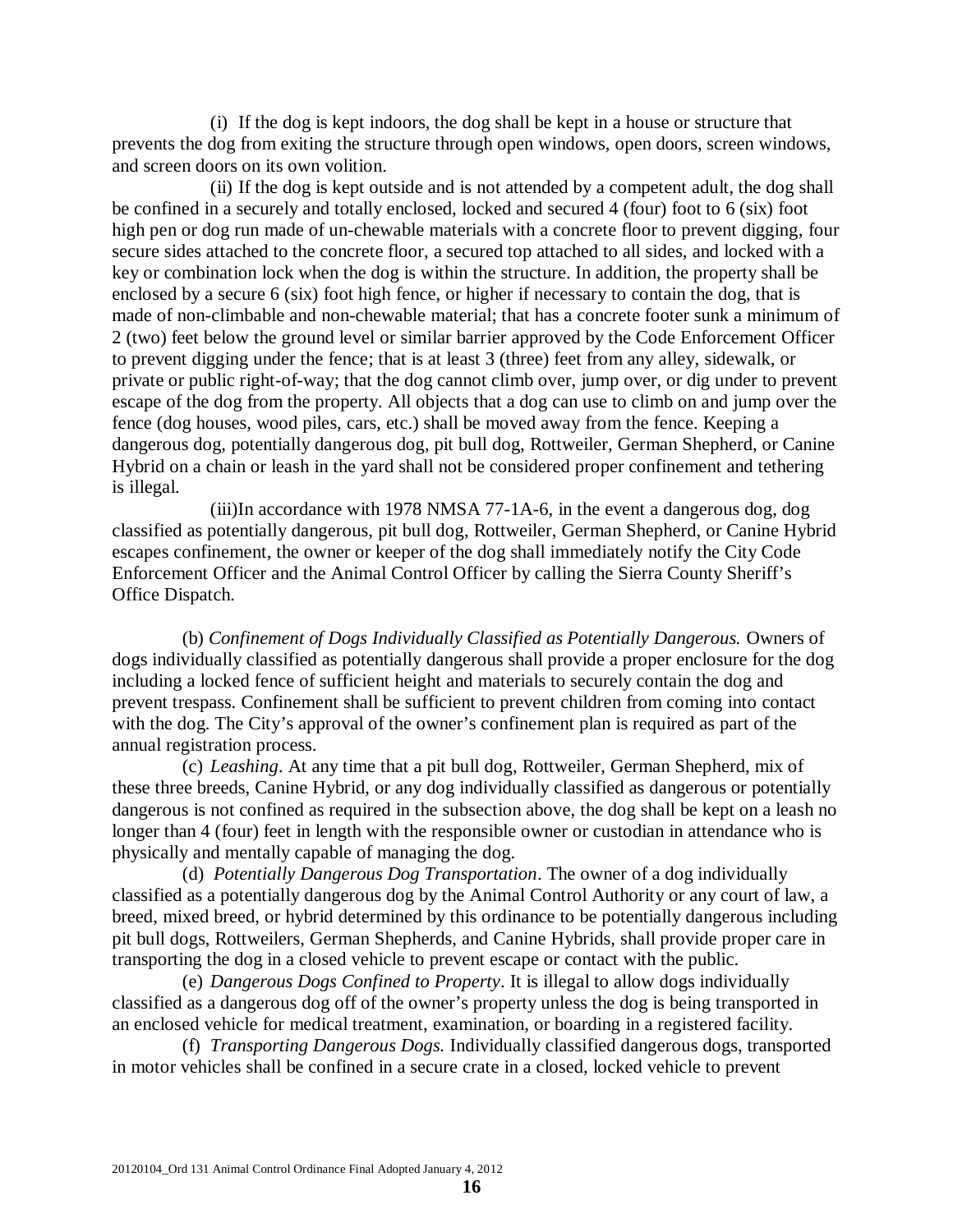(i) If the dog is kept indoors, the dog shall be kept in a house or structure that prevents the dog from exiting the structure through open windows, open doors, screen windows, and screen doors on its own volition.

(ii) If the dog is kept outside and is not attended by a competent adult, the dog shall be confined in a securely and totally enclosed, locked and secured 4 (four) foot to 6 (six) foot high pen or dog run made of un-chewable materials with a concrete floor to prevent digging, four secure sides attached to the concrete floor, a secured top attached to all sides, and locked with a key or combination lock when the dog is within the structure. In addition, the property shall be enclosed by a secure 6 (six) foot high fence, or higher if necessary to contain the dog, that is made of non-climbable and non-chewable material; that has a concrete footer sunk a minimum of 2 (two) feet below the ground level or similar barrier approved by the Code Enforcement Officer to prevent digging under the fence; that is at least 3 (three) feet from any alley, sidewalk, or private or public right-of-way; that the dog cannot climb over, jump over, or dig under to prevent escape of the dog from the property. All objects that a dog can use to climb on and jump over the fence (dog houses, wood piles, cars, etc.) shall be moved away from the fence. Keeping a dangerous dog, potentially dangerous dog, pit bull dog, Rottweiler, German Shepherd, or Canine Hybrid on a chain or leash in the yard shall not be considered proper confinement and tethering is illegal.

(iii)In accordance with 1978 NMSA 77-1A-6, in the event a dangerous dog, dog classified as potentially dangerous, pit bull dog, Rottweiler, German Shepherd, or Canine Hybrid escapes confinement, the owner or keeper of the dog shall immediately notify the City Code Enforcement Officer and the Animal Control Officer by calling the Sierra County Sheriff's Office Dispatch.

(b) *Confinement of Dogs Individually Classified as Potentially Dangerous.* Owners of dogs individually classified as potentially dangerous shall provide a proper enclosure for the dog including a locked fence of sufficient height and materials to securely contain the dog and prevent trespass. Confinement shall be sufficient to prevent children from coming into contact with the dog. The City's approval of the owner's confinement plan is required as part of the annual registration process.

(c) *Leashing*. At any time that a pit bull dog, Rottweiler, German Shepherd, mix of these three breeds, Canine Hybrid, or any dog individually classified as dangerous or potentially dangerous is not confined as required in the subsection above, the dog shall be kept on a leash no longer than 4 (four) feet in length with the responsible owner or custodian in attendance who is physically and mentally capable of managing the dog.

(d) *Potentially Dangerous Dog Transportation*. The owner of a dog individually classified as a potentially dangerous dog by the Animal Control Authority or any court of law, a breed, mixed breed, or hybrid determined by this ordinance to be potentially dangerous including pit bull dogs, Rottweilers, German Shepherds, and Canine Hybrids, shall provide proper care in transporting the dog in a closed vehicle to prevent escape or contact with the public.

(e) *Dangerous Dogs Confined to Property*. It is illegal to allow dogs individually classified as a dangerous dog off of the owner's property unless the dog is being transported in an enclosed vehicle for medical treatment, examination, or boarding in a registered facility.

(f) *Transporting Dangerous Dogs.* Individually classified dangerous dogs, transported in motor vehicles shall be confined in a secure crate in a closed, locked vehicle to prevent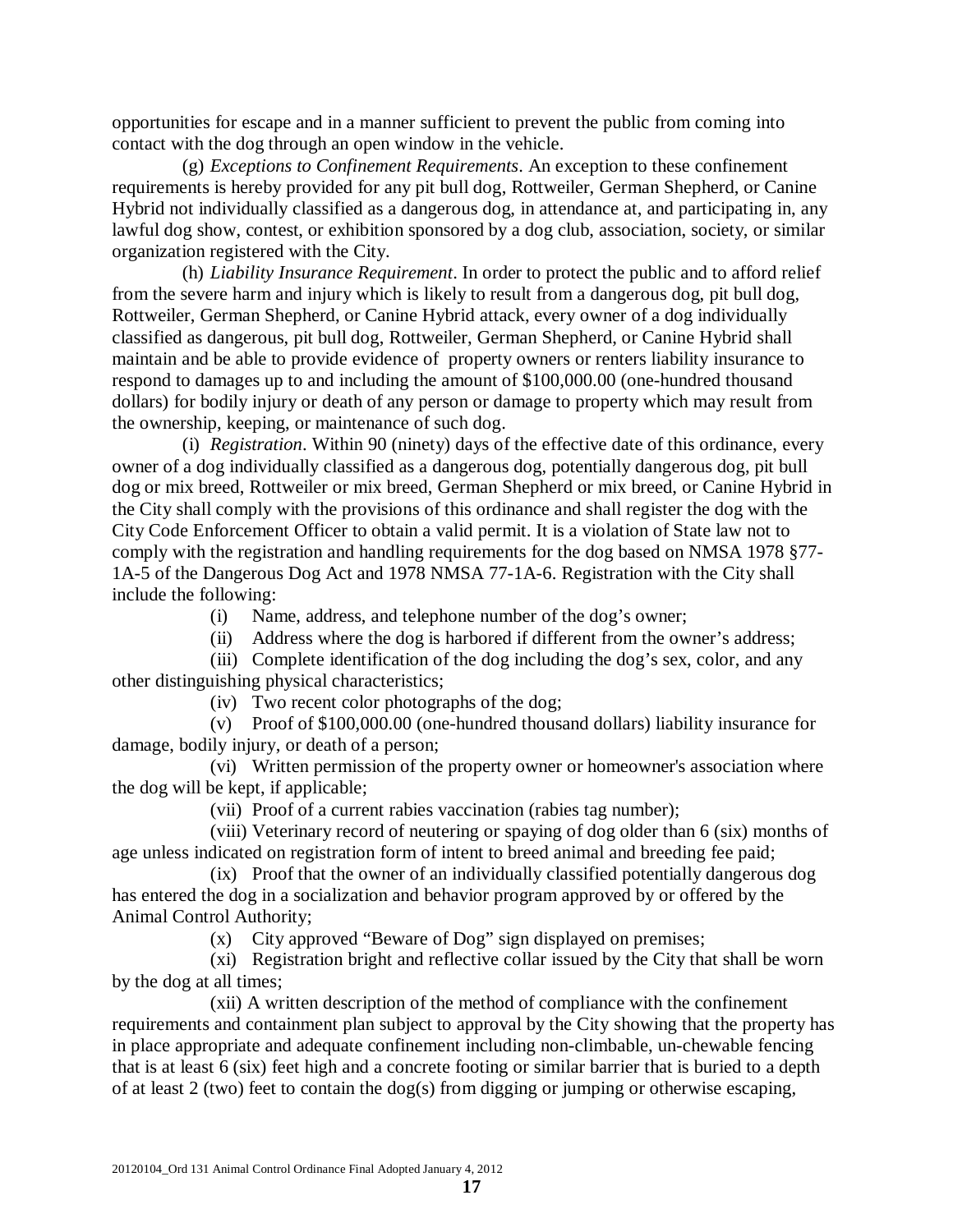opportunities for escape and in a manner sufficient to prevent the public from coming into contact with the dog through an open window in the vehicle.

(g) *Exceptions to Confinement Requirements*. An exception to these confinement requirements is hereby provided for any pit bull dog, Rottweiler, German Shepherd, or Canine Hybrid not individually classified as a dangerous dog, in attendance at, and participating in, any lawful dog show, contest, or exhibition sponsored by a dog club, association, society, or similar organization registered with the City.

(h) *Liability Insurance Requirement*. In order to protect the public and to afford relief from the severe harm and injury which is likely to result from a dangerous dog, pit bull dog, Rottweiler, German Shepherd, or Canine Hybrid attack, every owner of a dog individually classified as dangerous, pit bull dog, Rottweiler, German Shepherd, or Canine Hybrid shall maintain and be able to provide evidence of property owners or renters liability insurance to respond to damages up to and including the amount of \$100,000.00 (one-hundred thousand dollars) for bodily injury or death of any person or damage to property which may result from the ownership, keeping, or maintenance of such dog.

(i) *Registration*. Within 90 (ninety) days of the effective date of this ordinance, every owner of a dog individually classified as a dangerous dog, potentially dangerous dog, pit bull dog or mix breed, Rottweiler or mix breed, German Shepherd or mix breed, or Canine Hybrid in the City shall comply with the provisions of this ordinance and shall register the dog with the City Code Enforcement Officer to obtain a valid permit. It is a violation of State law not to comply with the registration and handling requirements for the dog based on NMSA 1978 §77- 1A-5 of the Dangerous Dog Act and 1978 NMSA 77-1A-6. Registration with the City shall include the following:

(i) Name, address, and telephone number of the dog's owner;

(ii) Address where the dog is harbored if different from the owner's address;

(iii) Complete identification of the dog including the dog's sex, color, and any other distinguishing physical characteristics;

(iv) Two recent color photographs of the dog;

(v) Proof of \$100,000.00 (one-hundred thousand dollars) liability insurance for damage, bodily injury, or death of a person;

(vi) Written permission of the property owner or homeowner's association where the dog will be kept, if applicable;

(vii) Proof of a current rabies vaccination (rabies tag number);

(viii) Veterinary record of neutering or spaying of dog older than 6 (six) months of age unless indicated on registration form of intent to breed animal and breeding fee paid;

(ix) Proof that the owner of an individually classified potentially dangerous dog has entered the dog in a socialization and behavior program approved by or offered by the Animal Control Authority;

(x) City approved "Beware of Dog" sign displayed on premises;

(xi) Registration bright and reflective collar issued by the City that shall be worn by the dog at all times;

(xii) A written description of the method of compliance with the confinement requirements and containment plan subject to approval by the City showing that the property has in place appropriate and adequate confinement including non-climbable, un-chewable fencing that is at least 6 (six) feet high and a concrete footing or similar barrier that is buried to a depth of at least 2 (two) feet to contain the dog(s) from digging or jumping or otherwise escaping,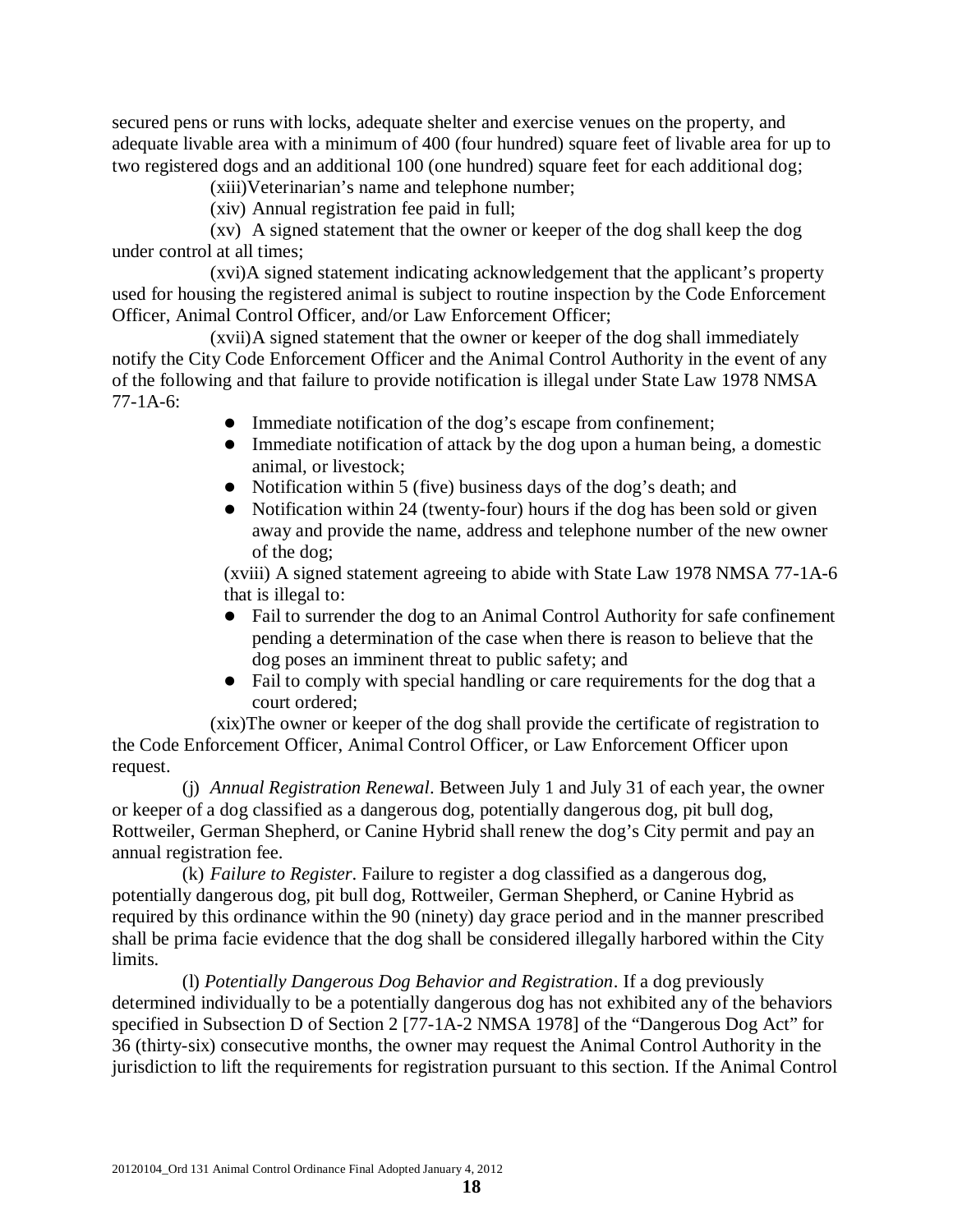secured pens or runs with locks, adequate shelter and exercise venues on the property, and adequate livable area with a minimum of 400 (four hundred) square feet of livable area for up to two registered dogs and an additional 100 (one hundred) square feet for each additional dog;

(xiii)Veterinarian's name and telephone number;

(xiv) Annual registration fee paid in full;

(xv) A signed statement that the owner or keeper of the dog shall keep the dog under control at all times;

(xvi)A signed statement indicating acknowledgement that the applicant's property used for housing the registered animal is subject to routine inspection by the Code Enforcement Officer, Animal Control Officer, and/or Law Enforcement Officer;

(xvii)A signed statement that the owner or keeper of the dog shall immediately notify the City Code Enforcement Officer and the Animal Control Authority in the event of any of the following and that failure to provide notification is illegal under State Law 1978 NMSA 77-1A-6:

- Immediate notification of the dog's escape from confinement;
- Immediate notification of attack by the dog upon a human being, a domestic animal, or livestock;
- Notification within 5 (five) business days of the dog's death; and
- Notification within 24 (twenty-four) hours if the dog has been sold or given away and provide the name, address and telephone number of the new owner of the dog;

(xviii) A signed statement agreeing to abide with State Law 1978 NMSA 77-1A-6 that is illegal to:

- Fail to surrender the dog to an Animal Control Authority for safe confinement pending a determination of the case when there is reason to believe that the dog poses an imminent threat to public safety; and
- Fail to comply with special handling or care requirements for the dog that a court ordered;

(xix)The owner or keeper of the dog shall provide the certificate of registration to the Code Enforcement Officer, Animal Control Officer, or Law Enforcement Officer upon request.

(j) *Annual Registration Renewal*. Between July 1 and July 31 of each year, the owner or keeper of a dog classified as a dangerous dog, potentially dangerous dog, pit bull dog, Rottweiler, German Shepherd, or Canine Hybrid shall renew the dog's City permit and pay an annual registration fee.

(k) *Failure to Register*. Failure to register a dog classified as a dangerous dog, potentially dangerous dog, pit bull dog, Rottweiler, German Shepherd, or Canine Hybrid as required by this ordinance within the 90 (ninety) day grace period and in the manner prescribed shall be prima facie evidence that the dog shall be considered illegally harbored within the City limits.

(l) *Potentially Dangerous Dog Behavior and Registration*. If a dog previously determined individually to be a potentially dangerous dog has not exhibited any of the behaviors specified in Subsection D of Section 2 [77-1A-2 NMSA 1978] of the "Dangerous Dog Act" for 36 (thirty-six) consecutive months, the owner may request the Animal Control Authority in the jurisdiction to lift the requirements for registration pursuant to this section. If the Animal Control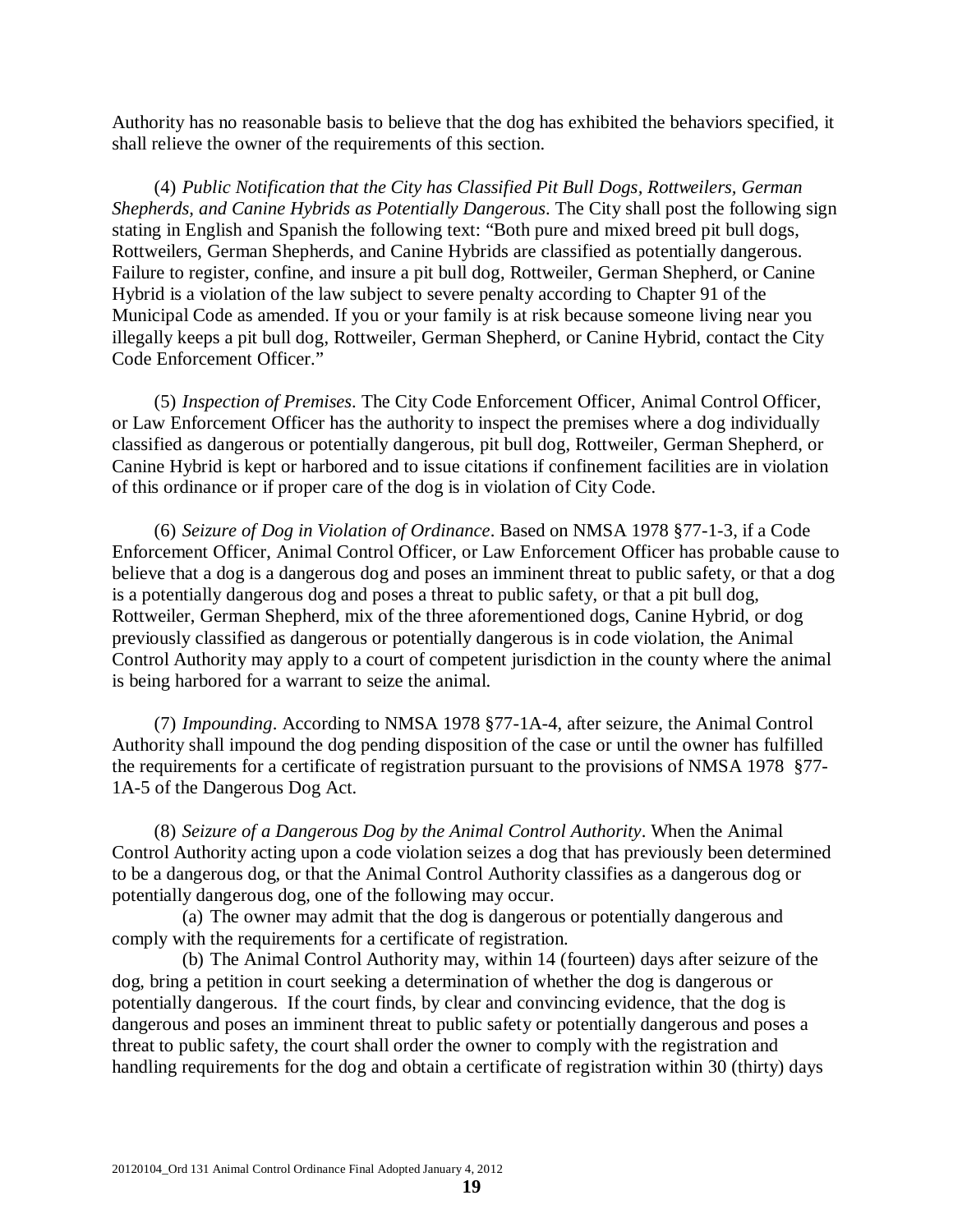Authority has no reasonable basis to believe that the dog has exhibited the behaviors specified, it shall relieve the owner of the requirements of this section.

(4) *Public Notification that the City has Classified Pit Bull Dogs, Rottweilers, German Shepherds, and Canine Hybrids as Potentially Dangerous*. The City shall post the following sign stating in English and Spanish the following text: "Both pure and mixed breed pit bull dogs, Rottweilers, German Shepherds, and Canine Hybrids are classified as potentially dangerous. Failure to register, confine, and insure a pit bull dog, Rottweiler, German Shepherd, or Canine Hybrid is a violation of the law subject to severe penalty according to Chapter 91 of the Municipal Code as amended. If you or your family is at risk because someone living near you illegally keeps a pit bull dog, Rottweiler, German Shepherd, or Canine Hybrid, contact the City Code Enforcement Officer."

(5) *Inspection of Premises*. The City Code Enforcement Officer, Animal Control Officer, or Law Enforcement Officer has the authority to inspect the premises where a dog individually classified as dangerous or potentially dangerous, pit bull dog, Rottweiler, German Shepherd, or Canine Hybrid is kept or harbored and to issue citations if confinement facilities are in violation of this ordinance or if proper care of the dog is in violation of City Code.

(6) *Seizure of Dog in Violation of Ordinance*. Based on NMSA 1978 §77-1-3, if a Code Enforcement Officer, Animal Control Officer, or Law Enforcement Officer has probable cause to believe that a dog is a dangerous dog and poses an imminent threat to public safety, or that a dog is a potentially dangerous dog and poses a threat to public safety, or that a pit bull dog, Rottweiler, German Shepherd, mix of the three aforementioned dogs, Canine Hybrid, or dog previously classified as dangerous or potentially dangerous is in code violation, the Animal Control Authority may apply to a court of competent jurisdiction in the county where the animal is being harbored for a warrant to seize the animal.

(7) *Impounding*. According to NMSA 1978 §77-1A-4, after seizure, the Animal Control Authority shall impound the dog pending disposition of the case or until the owner has fulfilled the requirements for a certificate of registration pursuant to the provisions of NMSA 1978 §77- 1A-5 of the Dangerous Dog Act.

(8) *Seizure of a Dangerous Dog by the Animal Control Authority*. When the Animal Control Authority acting upon a code violation seizes a dog that has previously been determined to be a dangerous dog, or that the Animal Control Authority classifies as a dangerous dog or potentially dangerous dog, one of the following may occur.

(a) The owner may admit that the dog is dangerous or potentially dangerous and comply with the requirements for a certificate of registration.

(b) The Animal Control Authority may, within 14 (fourteen) days after seizure of the dog, bring a petition in court seeking a determination of whether the dog is dangerous or potentially dangerous. If the court finds, by clear and convincing evidence, that the dog is dangerous and poses an imminent threat to public safety or potentially dangerous and poses a threat to public safety, the court shall order the owner to comply with the registration and handling requirements for the dog and obtain a certificate of registration within 30 (thirty) days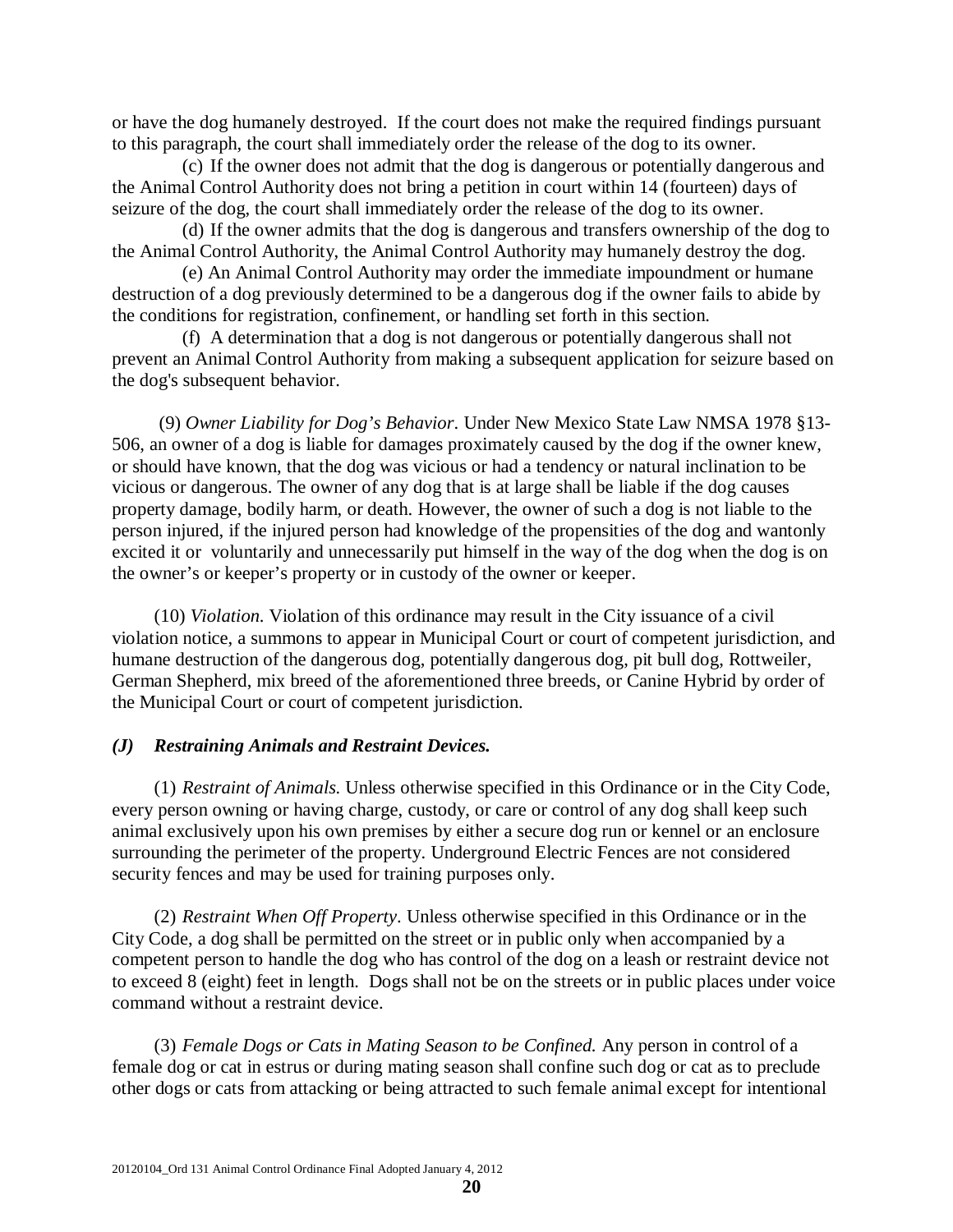or have the dog humanely destroyed. If the court does not make the required findings pursuant to this paragraph, the court shall immediately order the release of the dog to its owner.

(c) If the owner does not admit that the dog is dangerous or potentially dangerous and the Animal Control Authority does not bring a petition in court within 14 (fourteen) days of seizure of the dog, the court shall immediately order the release of the dog to its owner.

(d) If the owner admits that the dog is dangerous and transfers ownership of the dog to the Animal Control Authority, the Animal Control Authority may humanely destroy the dog.

(e) An Animal Control Authority may order the immediate impoundment or humane destruction of a dog previously determined to be a dangerous dog if the owner fails to abide by the conditions for registration, confinement, or handling set forth in this section.

(f) A determination that a dog is not dangerous or potentially dangerous shall not prevent an Animal Control Authority from making a subsequent application for seizure based on the dog's subsequent behavior.

(9) *Owner Liability for Dog's Behavior*. Under New Mexico State Law NMSA 1978 §13- 506, an owner of a dog is liable for damages proximately caused by the dog if the owner knew, or should have known, that the dog was vicious or had a tendency or natural inclination to be vicious or dangerous. The owner of any dog that is at large shall be liable if the dog causes property damage, bodily harm, or death. However, the owner of such a dog is not liable to the person injured, if the injured person had knowledge of the propensities of the dog and wantonly excited it or voluntarily and unnecessarily put himself in the way of the dog when the dog is on the owner's or keeper's property or in custody of the owner or keeper.

(10) *Violation*. Violation of this ordinance may result in the City issuance of a civil violation notice, a summons to appear in Municipal Court or court of competent jurisdiction, and humane destruction of the dangerous dog, potentially dangerous dog, pit bull dog, Rottweiler, German Shepherd, mix breed of the aforementioned three breeds, or Canine Hybrid by order of the Municipal Court or court of competent jurisdiction.

#### *(J) Restraining Animals and Restraint Devices.*

(1) *Restraint of Animals.* Unless otherwise specified in this Ordinance or in the City Code, every person owning or having charge, custody, or care or control of any dog shall keep such animal exclusively upon his own premises by either a secure dog run or kennel or an enclosure surrounding the perimeter of the property. Underground Electric Fences are not considered security fences and may be used for training purposes only.

(2) *Restraint When Off Property*. Unless otherwise specified in this Ordinance or in the City Code, a dog shall be permitted on the street or in public only when accompanied by a competent person to handle the dog who has control of the dog on a leash or restraint device not to exceed 8 (eight) feet in length. Dogs shall not be on the streets or in public places under voice command without a restraint device.

(3) *Female Dogs or Cats in Mating Season to be Confined.* Any person in control of a female dog or cat in estrus or during mating season shall confine such dog or cat as to preclude other dogs or cats from attacking or being attracted to such female animal except for intentional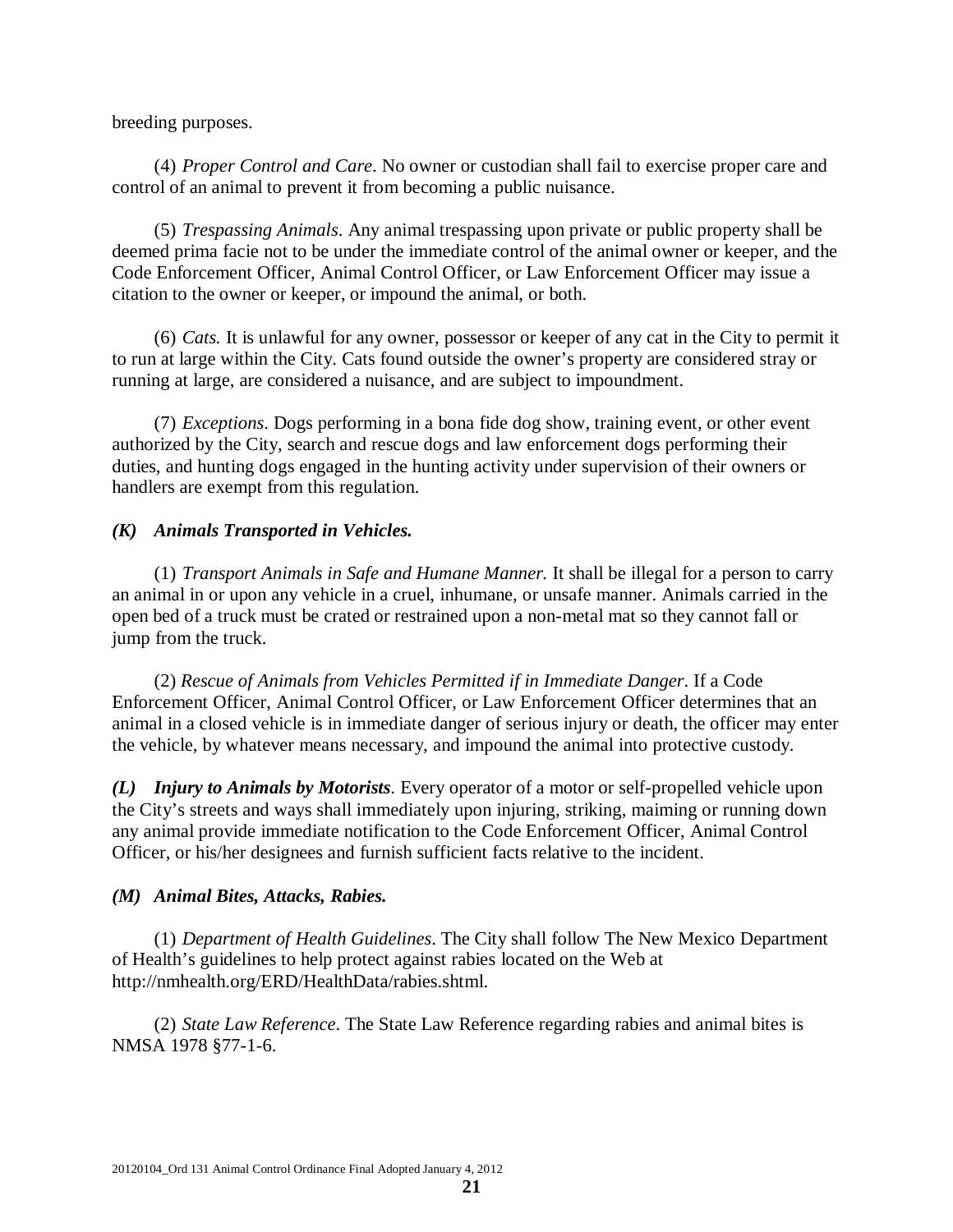breeding purposes.

(4) *Proper Control and Care*. No owner or custodian shall fail to exercise proper care and control of an animal to prevent it from becoming a public nuisance.

(5) *Trespassing Animals*. Any animal trespassing upon private or public property shall be deemed prima facie not to be under the immediate control of the animal owner or keeper, and the Code Enforcement Officer, Animal Control Officer, or Law Enforcement Officer may issue a citation to the owner or keeper, or impound the animal, or both.

(6) *Cats.* It is unlawful for any owner, possessor or keeper of any cat in the City to permit it to run at large within the City. Cats found outside the owner's property are considered stray or running at large, are considered a nuisance, and are subject to impoundment.

(7) *Exceptions*. Dogs performing in a bona fide dog show, training event, or other event authorized by the City, search and rescue dogs and law enforcement dogs performing their duties, and hunting dogs engaged in the hunting activity under supervision of their owners or handlers are exempt from this regulation.

# *(K) Animals Transported in Vehicles.*

(1) *Transport Animals in Safe and Humane Manner.* It shall be illegal for a person to carry an animal in or upon any vehicle in a cruel, inhumane, or unsafe manner. Animals carried in the open bed of a truck must be crated or restrained upon a non-metal mat so they cannot fall or jump from the truck.

(2) *Rescue of Animals from Vehicles Permitted if in Immediate Danger*. If a Code Enforcement Officer, Animal Control Officer, or Law Enforcement Officer determines that an animal in a closed vehicle is in immediate danger of serious injury or death, the officer may enter the vehicle, by whatever means necessary, and impound the animal into protective custody.

*(L) Injury to Animals by Motorists*. Every operator of a motor or self-propelled vehicle upon the City's streets and ways shall immediately upon injuring, striking, maiming or running down any animal provide immediate notification to the Code Enforcement Officer, Animal Control Officer, or his/her designees and furnish sufficient facts relative to the incident.

# *(M) Animal Bites, Attacks, Rabies.*

(1) *Department of Health Guidelines*. The City shall follow The New Mexico Department of Health's guidelines to help protect against rabies located on the Web at http://nmhealth.org/ERD/HealthData/rabies.shtml.

(2) *State Law Reference*. The State Law Reference regarding rabies and animal bites is NMSA 1978 §77-1-6.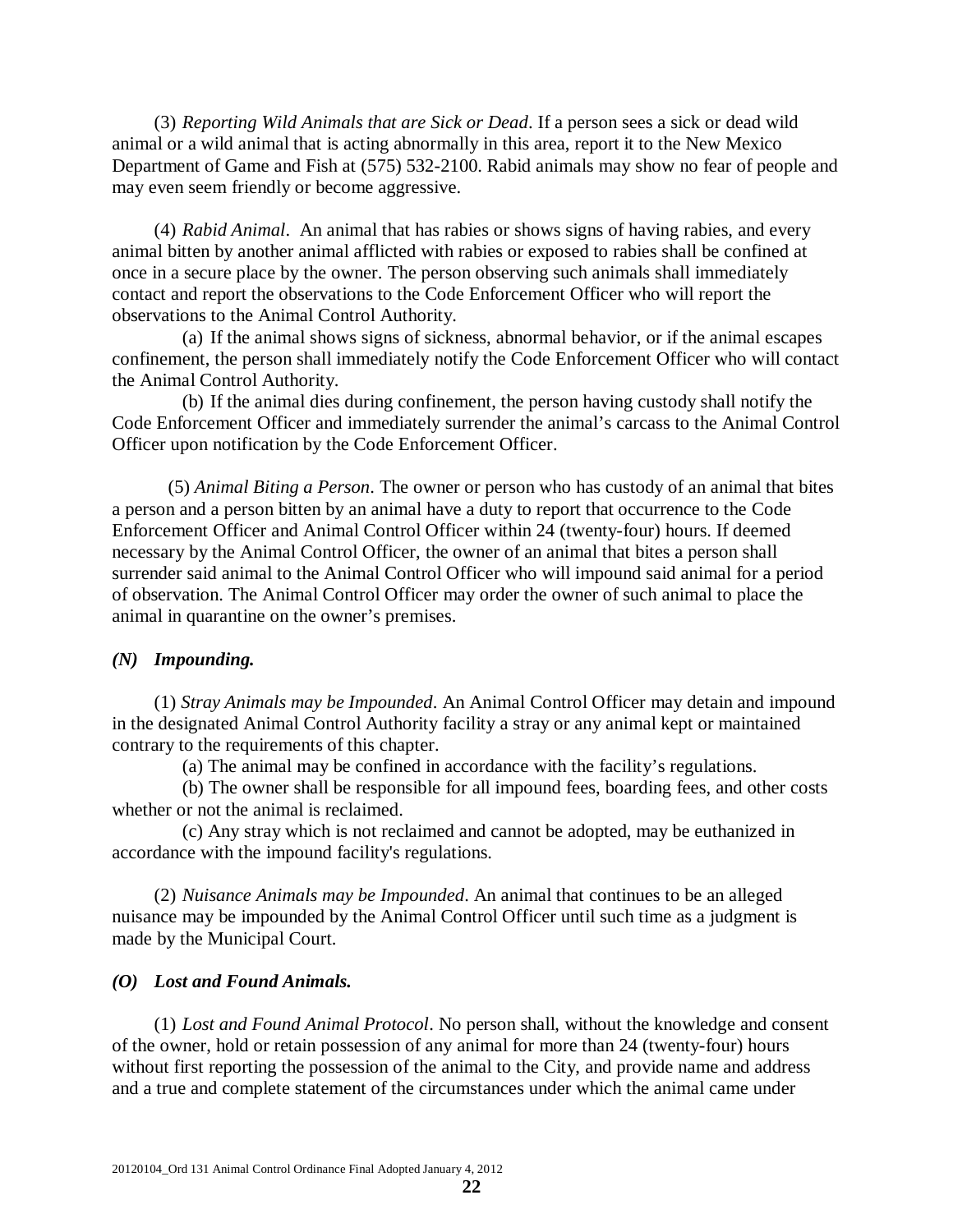(3) *Reporting Wild Animals that are Sick or Dead*. If a person sees a sick or dead wild animal or a wild animal that is acting abnormally in this area, report it to the New Mexico Department of Game and Fish at (575) 532-2100. Rabid animals may show no fear of people and may even seem friendly or become aggressive.

(4) *Rabid Animal*. An animal that has rabies or shows signs of having rabies, and every animal bitten by another animal afflicted with rabies or exposed to rabies shall be confined at once in a secure place by the owner. The person observing such animals shall immediately contact and report the observations to the Code Enforcement Officer who will report the observations to the Animal Control Authority.

(a) If the animal shows signs of sickness, abnormal behavior, or if the animal escapes confinement, the person shall immediately notify the Code Enforcement Officer who will contact the Animal Control Authority.

(b) If the animal dies during confinement, the person having custody shall notify the Code Enforcement Officer and immediately surrender the animal's carcass to the Animal Control Officer upon notification by the Code Enforcement Officer.

(5) *Animal Biting a Person*. The owner or person who has custody of an animal that bites a person and a person bitten by an animal have a duty to report that occurrence to the Code Enforcement Officer and Animal Control Officer within 24 (twenty-four) hours. If deemed necessary by the Animal Control Officer, the owner of an animal that bites a person shall surrender said animal to the Animal Control Officer who will impound said animal for a period of observation. The Animal Control Officer may order the owner of such animal to place the animal in quarantine on the owner's premises.

#### *(N) Impounding.*

(1) *Stray Animals may be Impounded*. An Animal Control Officer may detain and impound in the designated Animal Control Authority facility a stray or any animal kept or maintained contrary to the requirements of this chapter.

(a) The animal may be confined in accordance with the facility's regulations.

(b) The owner shall be responsible for all impound fees, boarding fees, and other costs whether or not the animal is reclaimed.

(c) Any stray which is not reclaimed and cannot be adopted, may be euthanized in accordance with the impound facility's regulations.

(2) *Nuisance Animals may be Impounded*. An animal that continues to be an alleged nuisance may be impounded by the Animal Control Officer until such time as a judgment is made by the Municipal Court.

#### *(O) Lost and Found Animals.*

(1) *Lost and Found Animal Protocol*. No person shall, without the knowledge and consent of the owner, hold or retain possession of any animal for more than 24 (twenty-four) hours without first reporting the possession of the animal to the City, and provide name and address and a true and complete statement of the circumstances under which the animal came under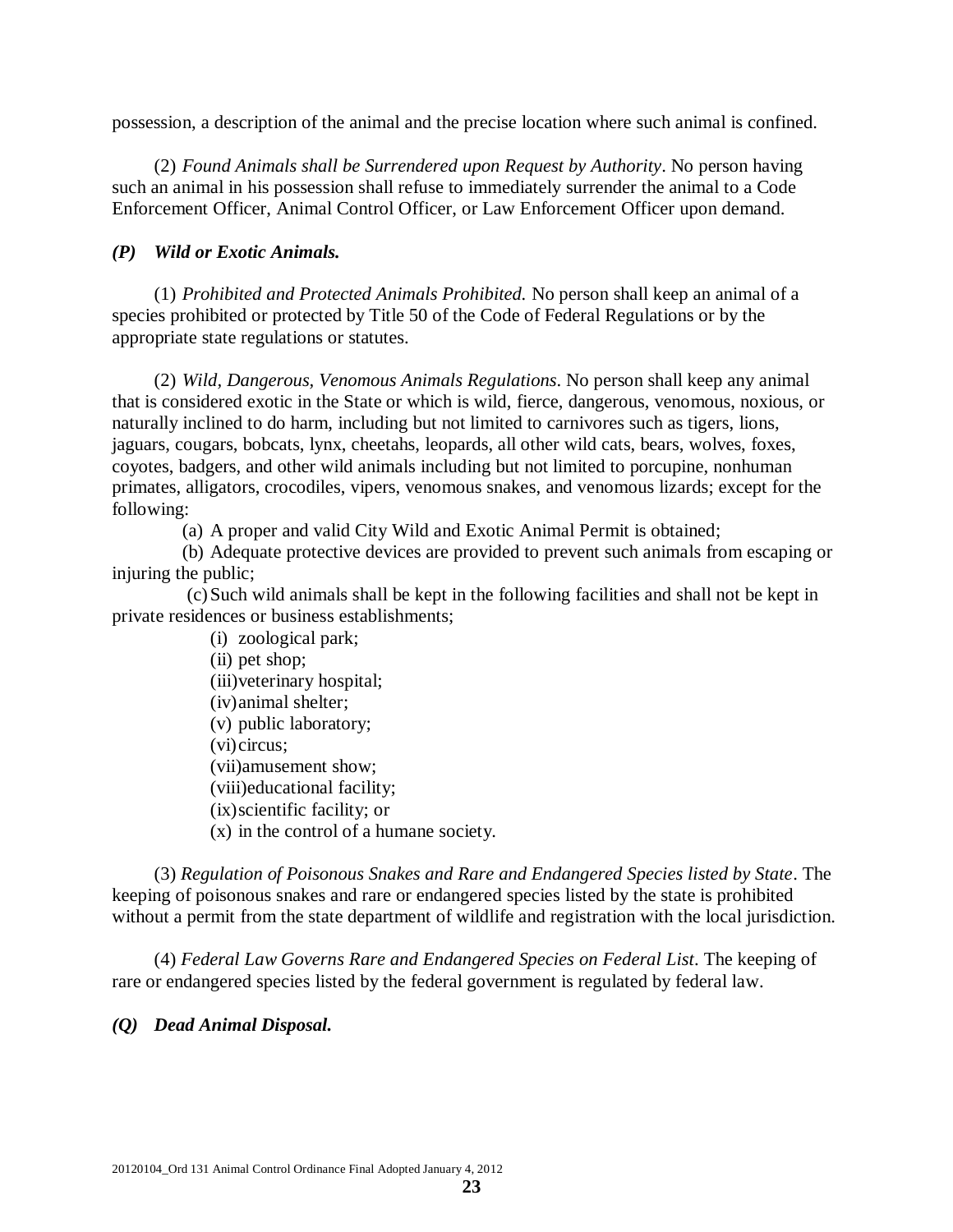possession, a description of the animal and the precise location where such animal is confined.

(2) *Found Animals shall be Surrendered upon Request by Authority*. No person having such an animal in his possession shall refuse to immediately surrender the animal to a Code Enforcement Officer, Animal Control Officer, or Law Enforcement Officer upon demand.

## *(P) Wild or Exotic Animals.*

(1) *Prohibited and Protected Animals Prohibited.* No person shall keep an animal of a species prohibited or protected by Title 50 of the Code of Federal Regulations or by the appropriate state regulations or statutes.

(2) *Wild, Dangerous, Venomous Animals Regulations*. No person shall keep any animal that is considered exotic in the State or which is wild, fierce, dangerous, venomous, noxious, or naturally inclined to do harm, including but not limited to carnivores such as tigers, lions, jaguars, cougars, bobcats, lynx, cheetahs, leopards, all other wild cats, bears, wolves, foxes, coyotes, badgers, and other wild animals including but not limited to porcupine, nonhuman primates, alligators, crocodiles, vipers, venomous snakes, and venomous lizards; except for the following:

(a) A proper and valid City Wild and Exotic Animal Permit is obtained;

(b) Adequate protective devices are provided to prevent such animals from escaping or injuring the public;

(c)Such wild animals shall be kept in the following facilities and shall not be kept in private residences or business establishments;

> (i) zoological park; (ii) pet shop; (iii)veterinary hospital; (iv)animal shelter; (v) public laboratory; (vi)circus; (vii)amusement show; (viii)educational facility; (ix)scientific facility; or (x) in the control of a humane society.

(3) *Regulation of Poisonous Snakes and Rare and Endangered Species listed by State*. The keeping of poisonous snakes and rare or endangered species listed by the state is prohibited without a permit from the state department of wildlife and registration with the local jurisdiction.

(4) *Federal Law Governs Rare and Endangered Species on Federal List*. The keeping of rare or endangered species listed by the federal government is regulated by federal law.

#### *(Q) Dead Animal Disposal.*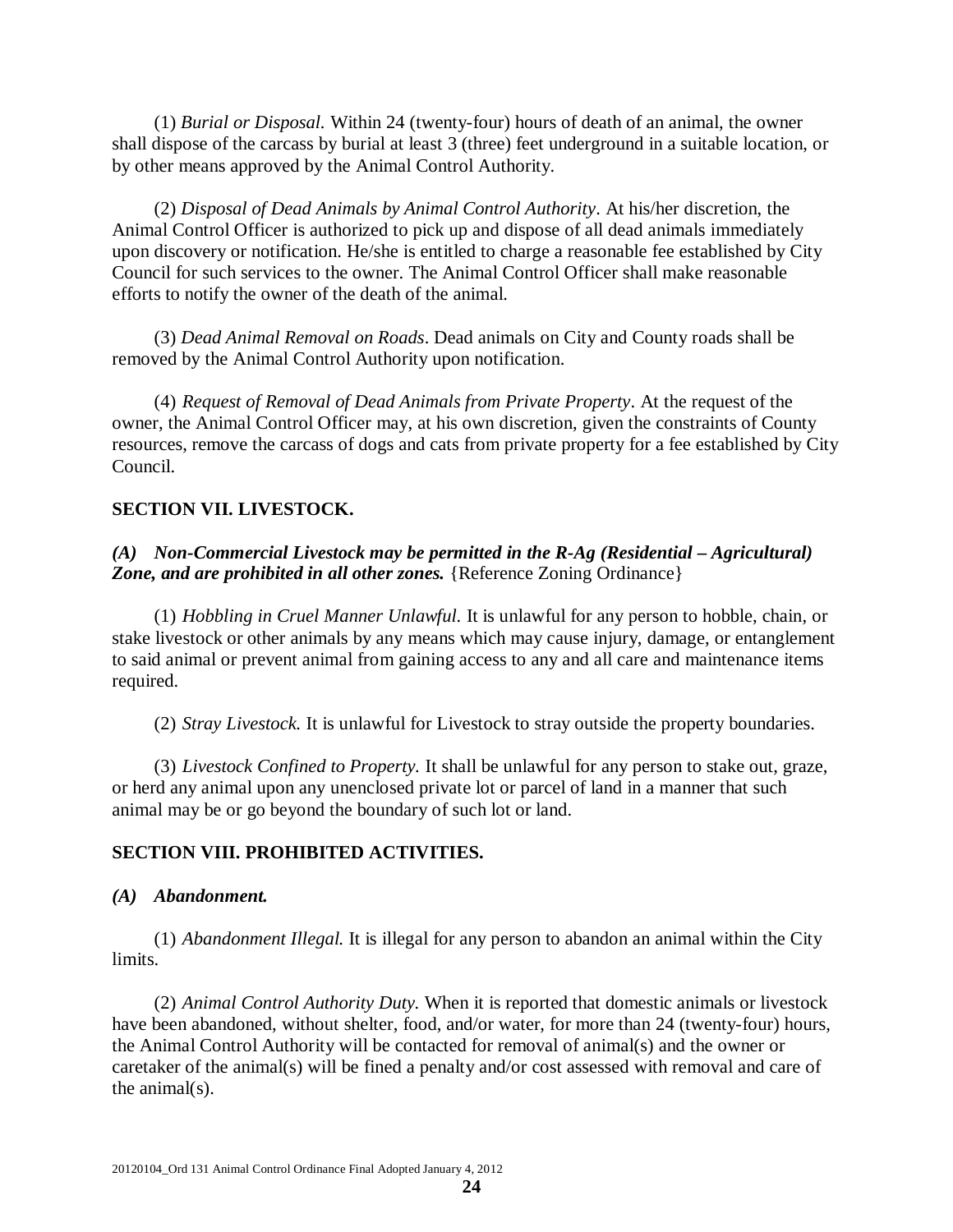(1) *Burial or Disposal.* Within 24 (twenty-four) hours of death of an animal, the owner shall dispose of the carcass by burial at least 3 (three) feet underground in a suitable location, or by other means approved by the Animal Control Authority.

(2) *Disposal of Dead Animals by Animal Control Authority*. At his/her discretion, the Animal Control Officer is authorized to pick up and dispose of all dead animals immediately upon discovery or notification. He/she is entitled to charge a reasonable fee established by City Council for such services to the owner. The Animal Control Officer shall make reasonable efforts to notify the owner of the death of the animal.

(3) *Dead Animal Removal on Roads*. Dead animals on City and County roads shall be removed by the Animal Control Authority upon notification.

(4) *Request of Removal of Dead Animals from Private Property*. At the request of the owner, the Animal Control Officer may, at his own discretion, given the constraints of County resources, remove the carcass of dogs and cats from private property for a fee established by City Council.

# **SECTION VII. LIVESTOCK.**

# *(A) Non-Commercial Livestock may be permitted in the R-Ag (Residential – Agricultural)*  **Zone, and are prohibited in all other zones.** {Reference Zoning Ordinance}

(1) *Hobbling in Cruel Manner Unlawful.* It is unlawful for any person to hobble, chain, or stake livestock or other animals by any means which may cause injury, damage, or entanglement to said animal or prevent animal from gaining access to any and all care and maintenance items required.

(2) *Stray Livestock.* It is unlawful for Livestock to stray outside the property boundaries.

(3) *Livestock Confined to Property.* It shall be unlawful for any person to stake out, graze, or herd any animal upon any unenclosed private lot or parcel of land in a manner that such animal may be or go beyond the boundary of such lot or land.

# **SECTION VIII. PROHIBITED ACTIVITIES.**

# *(A) Abandonment.*

(1) *Abandonment Illegal.* It is illegal for any person to abandon an animal within the City limits.

(2) *Animal Control Authority Duty.* When it is reported that domestic animals or livestock have been abandoned, without shelter, food, and/or water, for more than 24 (twenty-four) hours, the Animal Control Authority will be contacted for removal of animal(s) and the owner or caretaker of the animal(s) will be fined a penalty and/or cost assessed with removal and care of the animal(s).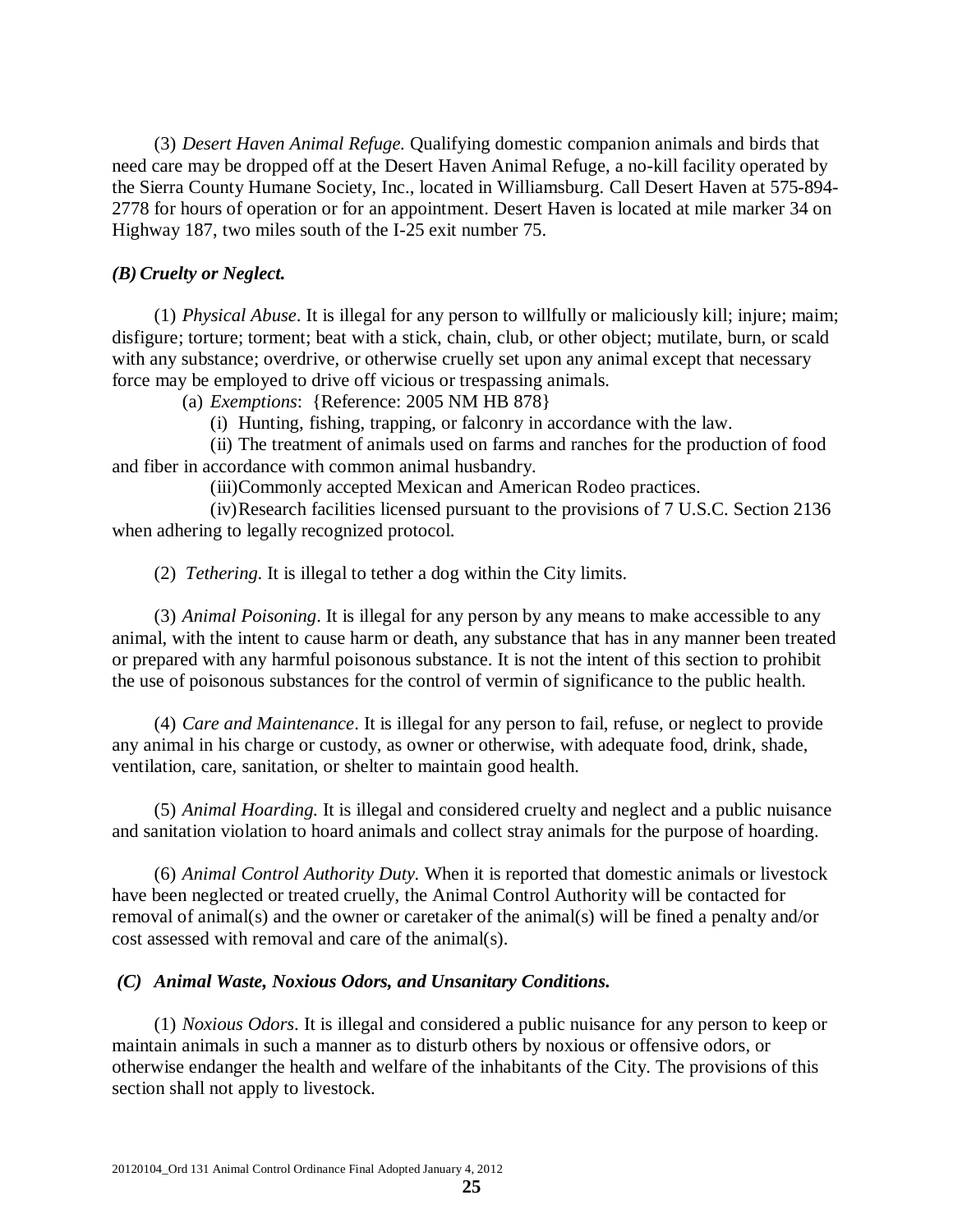(3) *Desert Haven Animal Refuge.* Qualifying domestic companion animals and birds that need care may be dropped off at the Desert Haven Animal Refuge, a no-kill facility operated by the Sierra County Humane Society, Inc., located in Williamsburg. Call Desert Haven at 575-894- 2778 for hours of operation or for an appointment. Desert Haven is located at mile marker 34 on Highway 187, two miles south of the I-25 exit number 75.

#### *(B) Cruelty or Neglect.*

(1) *Physical Abuse*. It is illegal for any person to willfully or maliciously kill; injure; maim; disfigure; torture; torment; beat with a stick, chain, club, or other object; mutilate, burn, or scald with any substance; overdrive, or otherwise cruelly set upon any animal except that necessary force may be employed to drive off vicious or trespassing animals.

(a) *Exemptions*: {Reference: 2005 NM HB 878}

(i) Hunting, fishing, trapping, or falconry in accordance with the law.

(ii) The treatment of animals used on farms and ranches for the production of food and fiber in accordance with common animal husbandry.

(iii)Commonly accepted Mexican and American Rodeo practices.

(iv)Research facilities licensed pursuant to the provisions of 7 U.S.C. Section 2136 when adhering to legally recognized protocol.

(2) *Tethering.* It is illegal to tether a dog within the City limits.

(3) *Animal Poisoning*. It is illegal for any person by any means to make accessible to any animal, with the intent to cause harm or death, any substance that has in any manner been treated or prepared with any harmful poisonous substance. It is not the intent of this section to prohibit the use of poisonous substances for the control of vermin of significance to the public health.

(4) *Care and Maintenance*. It is illegal for any person to fail, refuse, or neglect to provide any animal in his charge or custody, as owner or otherwise, with adequate food, drink, shade, ventilation, care, sanitation, or shelter to maintain good health.

(5) *Animal Hoarding.* It is illegal and considered cruelty and neglect and a public nuisance and sanitation violation to hoard animals and collect stray animals for the purpose of hoarding.

(6) *Animal Control Authority Duty.* When it is reported that domestic animals or livestock have been neglected or treated cruelly, the Animal Control Authority will be contacted for removal of animal(s) and the owner or caretaker of the animal(s) will be fined a penalty and/or cost assessed with removal and care of the animal(s).

#### *(C) Animal Waste, Noxious Odors, and Unsanitary Conditions.*

(1) *Noxious Odors*. It is illegal and considered a public nuisance for any person to keep or maintain animals in such a manner as to disturb others by noxious or offensive odors, or otherwise endanger the health and welfare of the inhabitants of the City. The provisions of this section shall not apply to livestock.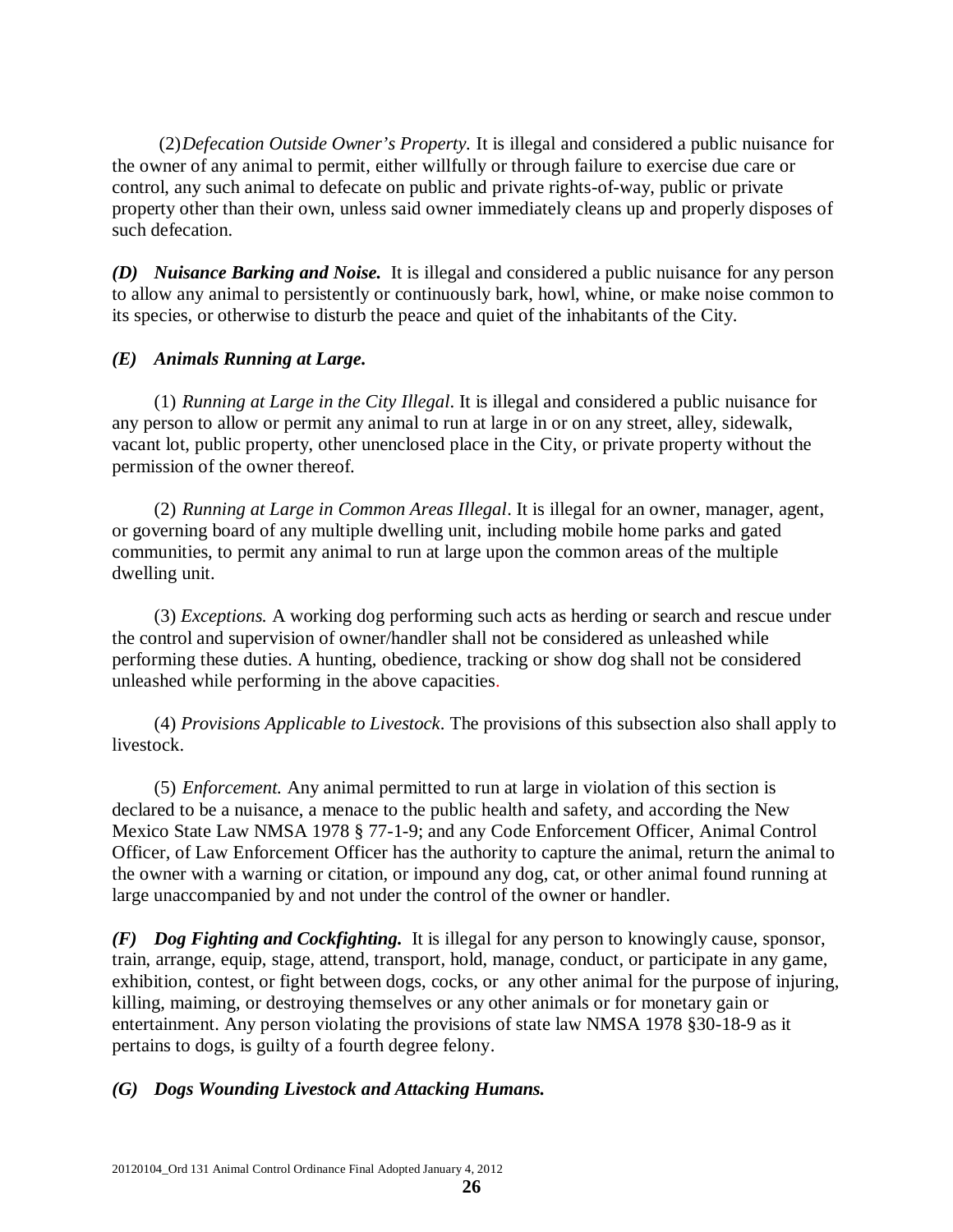(2)*Defecation Outside Owner's Property.* It is illegal and considered a public nuisance for the owner of any animal to permit, either willfully or through failure to exercise due care or control, any such animal to defecate on public and private rights-of-way, public or private property other than their own, unless said owner immediately cleans up and properly disposes of such defecation.

*(D) Nuisance Barking and Noise.* It is illegal and considered a public nuisance for any person to allow any animal to persistently or continuously bark, howl, whine, or make noise common to its species, or otherwise to disturb the peace and quiet of the inhabitants of the City.

# *(E) Animals Running at Large.*

(1) *Running at Large in the City Illegal*. It is illegal and considered a public nuisance for any person to allow or permit any animal to run at large in or on any street, alley, sidewalk, vacant lot, public property, other unenclosed place in the City, or private property without the permission of the owner thereof.

(2) *Running at Large in Common Areas Illegal*. It is illegal for an owner, manager, agent, or governing board of any multiple dwelling unit, including mobile home parks and gated communities, to permit any animal to run at large upon the common areas of the multiple dwelling unit.

(3) *Exceptions.* A working dog performing such acts as herding or search and rescue under the control and supervision of owner/handler shall not be considered as unleashed while performing these duties. A hunting, obedience, tracking or show dog shall not be considered unleashed while performing in the above capacities.

(4) *Provisions Applicable to Livestock*. The provisions of this subsection also shall apply to livestock.

(5) *Enforcement.* Any animal permitted to run at large in violation of this section is declared to be a nuisance, a menace to the public health and safety, and according the New Mexico State Law NMSA 1978 § 77-1-9; and any Code Enforcement Officer, Animal Control Officer, of Law Enforcement Officer has the authority to capture the animal, return the animal to the owner with a warning or citation, or impound any dog, cat, or other animal found running at large unaccompanied by and not under the control of the owner or handler.

*(F) Dog Fighting and Cockfighting.*It is illegal for any person to knowingly cause, sponsor, train, arrange, equip, stage, attend, transport, hold, manage, conduct, or participate in any game, exhibition, contest, or fight between dogs, cocks, or any other animal for the purpose of injuring, killing, maiming, or destroying themselves or any other animals or for monetary gain or entertainment. Any person violating the provisions of state law NMSA 1978 §30-18-9 as it pertains to dogs, is guilty of a fourth degree felony.

# *(G) Dogs Wounding Livestock and Attacking Humans.*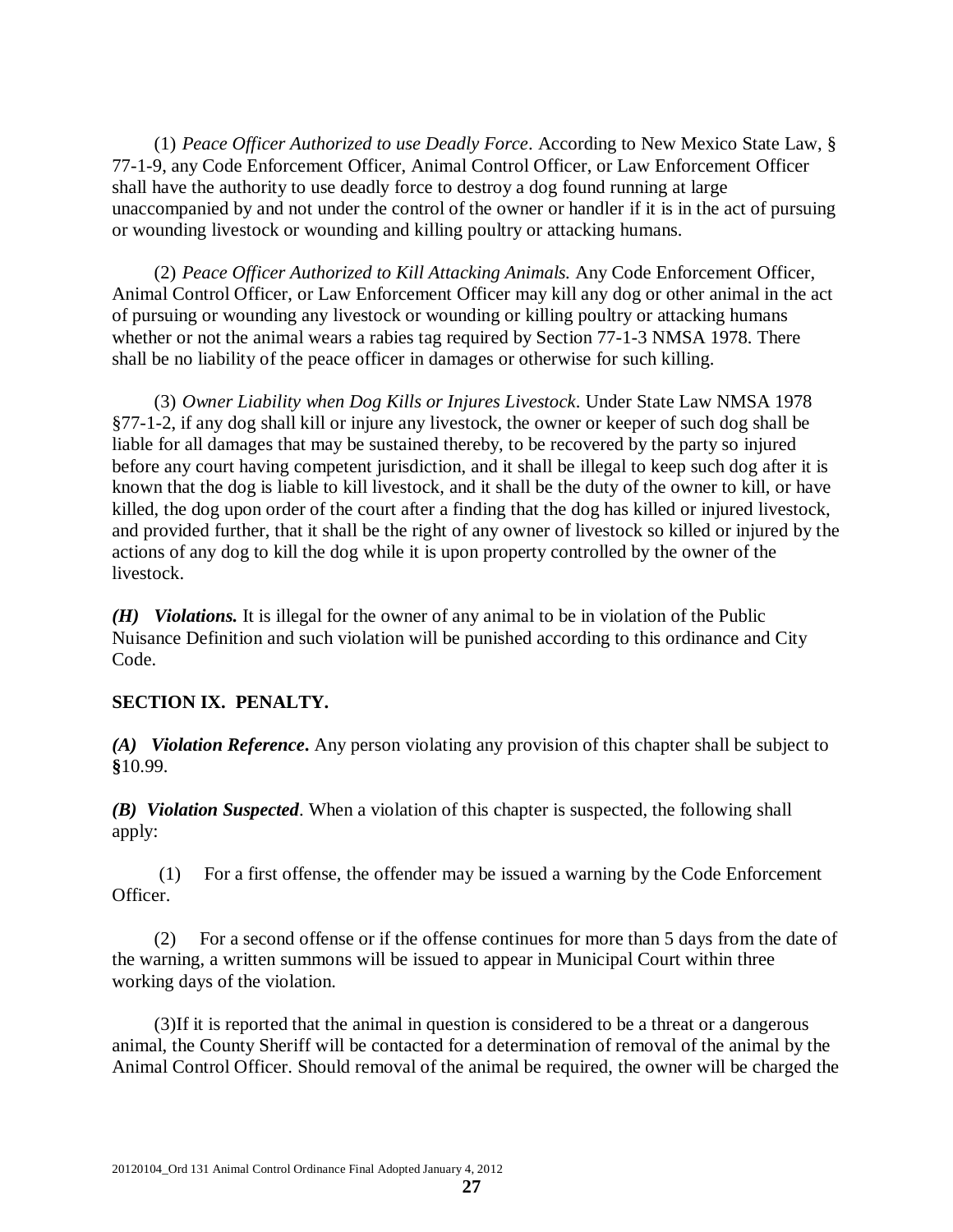(1) *Peace Officer Authorized to use Deadly Force*. According to New Mexico State Law, § 77-1-9, any Code Enforcement Officer, Animal Control Officer, or Law Enforcement Officer shall have the authority to use deadly force to destroy a dog found running at large unaccompanied by and not under the control of the owner or handler if it is in the act of pursuing or wounding livestock or wounding and killing poultry or attacking humans.

(2) *Peace Officer Authorized to Kill Attacking Animals.* Any Code Enforcement Officer, Animal Control Officer, or Law Enforcement Officer may kill any dog or other animal in the act of pursuing or wounding any livestock or wounding or killing poultry or attacking humans whether or not the animal wears a rabies tag required by Section 77-1-3 NMSA 1978. There shall be no liability of the peace officer in damages or otherwise for such killing.

(3) *Owner Liability when Dog Kills or Injures Livestock*. Under State Law NMSA 1978 §77-1-2, if any dog shall kill or injure any livestock, the owner or keeper of such dog shall be liable for all damages that may be sustained thereby, to be recovered by the party so injured before any court having competent jurisdiction, and it shall be illegal to keep such dog after it is known that the dog is liable to kill livestock, and it shall be the duty of the owner to kill, or have killed, the dog upon order of the court after a finding that the dog has killed or injured livestock, and provided further, that it shall be the right of any owner of livestock so killed or injured by the actions of any dog to kill the dog while it is upon property controlled by the owner of the livestock.

*(H) Violations.* It is illegal for the owner of any animal to be in violation of the Public Nuisance Definition and such violation will be punished according to this ordinance and City Code.

# **SECTION IX. PENALTY.**

*(A) Violation Reference***.** Any person violating any provision of this chapter shall be subject to **§**10.99.

*(B) Violation Suspected*. When a violation of this chapter is suspected, the following shall apply:

(1) For a first offense, the offender may be issued a warning by the Code Enforcement Officer.

(2) For a second offense or if the offense continues for more than 5 days from the date of the warning, a written summons will be issued to appear in Municipal Court within three working days of the violation.

(3)If it is reported that the animal in question is considered to be a threat or a dangerous animal, the County Sheriff will be contacted for a determination of removal of the animal by the Animal Control Officer. Should removal of the animal be required, the owner will be charged the